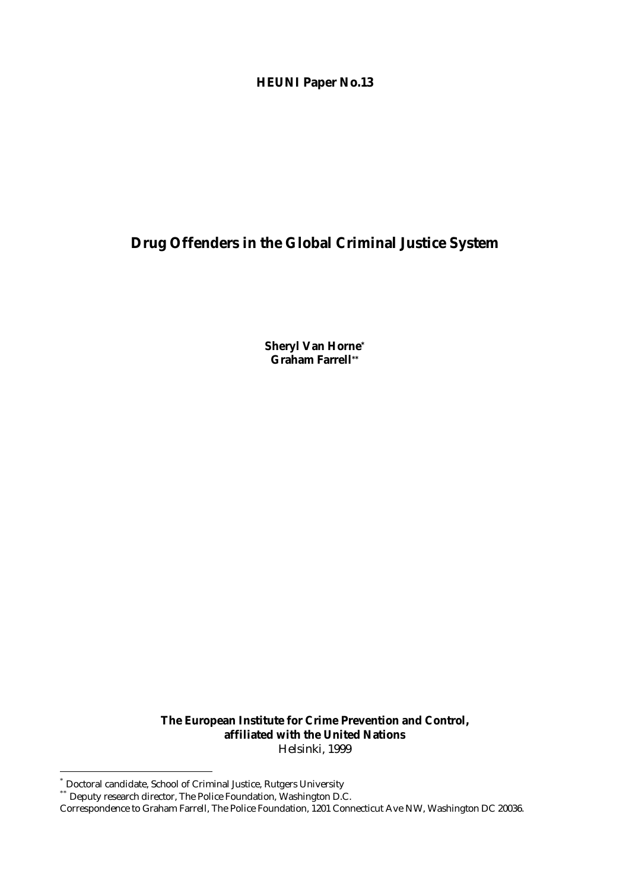## **HEUNI Paper No.13**

# **Drug Offenders in the Global Criminal Justice System**

**Sheryl Van Horne\* Graham Farrell\*\***

**The European Institute for Crime Prevention and Control, affiliated with the United Nations** Helsinki, 1999

 $\overline{a}$ 

<sup>\*</sup> Doctoral candidate, School of Criminal Justice, Rutgers University

Deputy research director, The Police Foundation, Washington D.C.

Correspondence to Graham Farrell, The Police Foundation, 1201 Connecticut Ave NW, Washington DC 20036.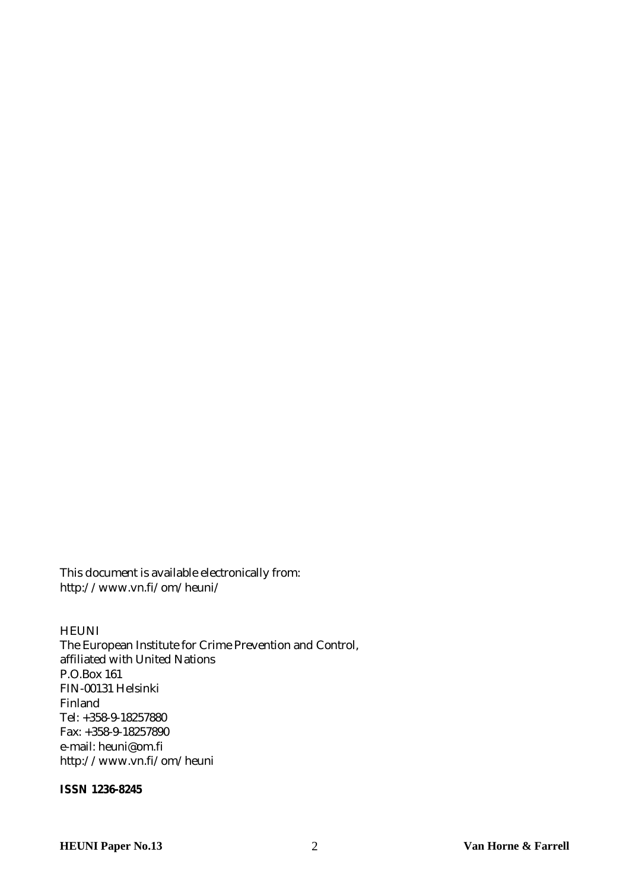This document is available electronically from: <http://www.vn.fi/om/heuni/>

#### **HEUNI**

The European Institute for Crime Prevention and Control, affiliated with United Nations P.O.Box 161 FIN-00131 Helsinki Finland Tel: +358-9-18257880 Fax: +358-9-18257890 e-mail: heuni@om.fi <http://www.vn.fi/om/heuni>

#### **ISSN 1236-8245**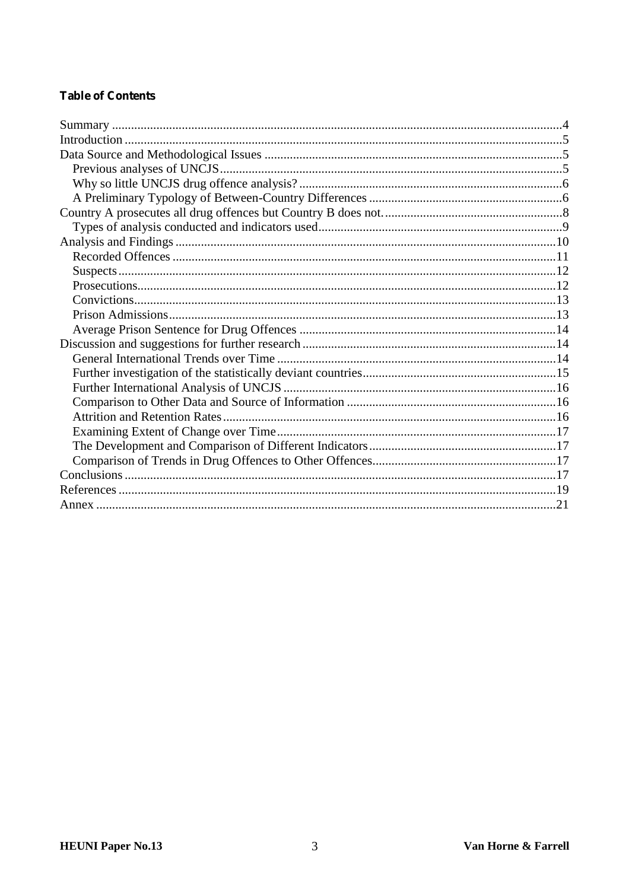## **Table of Contents**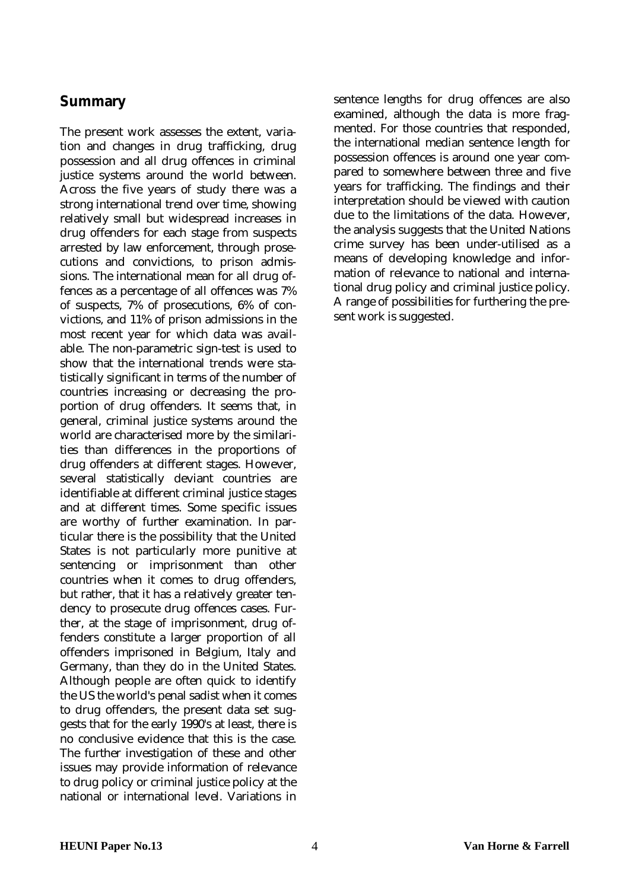## <span id="page-3-0"></span>**Summary**

The present work assesses the extent, variation and changes in drug trafficking, drug possession and all drug offences in criminal justice systems around the world between. Across the five years of study there was a strong international trend over time, showing relatively small but widespread increases in drug offenders for each stage from suspects arrested by law enforcement, through prosecutions and convictions, to prison admissions. The international mean for all drug offences as a percentage of all offences was 7% of suspects, 7% of prosecutions, 6% of convictions, and 11% of prison admissions in the most recent year for which data was available. The non-parametric sign-test is used to show that the international trends were statistically significant in terms of the number of countries increasing or decreasing the proportion of drug offenders. It seems that, in general, criminal justice systems around the world are characterised more by the similarities than differences in the proportions of drug offenders at different stages. However, several statistically deviant countries are identifiable at different criminal justice stages and at different times. Some specific issues are worthy of further examination. In particular there is the possibility that the United States is not particularly more punitive at sentencing or imprisonment than other countries when it comes to drug offenders, but rather, that it has a relatively greater tendency to prosecute drug offences cases. Further, at the stage of imprisonment, drug offenders constitute a larger proportion of all offenders imprisoned in Belgium, Italy and Germany, than they do in the United States. Although people are often quick to identify the US the world's penal sadist when it comes to drug offenders, the present data set suggests that for the early 1990's at least, there is no conclusive evidence that this is the case. The further investigation of these and other issues may provide information of relevance to drug policy or criminal justice policy at the national or international level. Variations in

sentence lengths for drug offences are also examined, although the data is more fragmented. For those countries that responded, the international median sentence length for possession offences is around one year compared to somewhere between three and five years for trafficking. The findings and their interpretation should be viewed with caution due to the limitations of the data. However, the analysis suggests that the United Nations crime survey has been under-utilised as a means of developing knowledge and information of relevance to national and international drug policy and criminal justice policy. A range of possibilities for furthering the present work is suggested.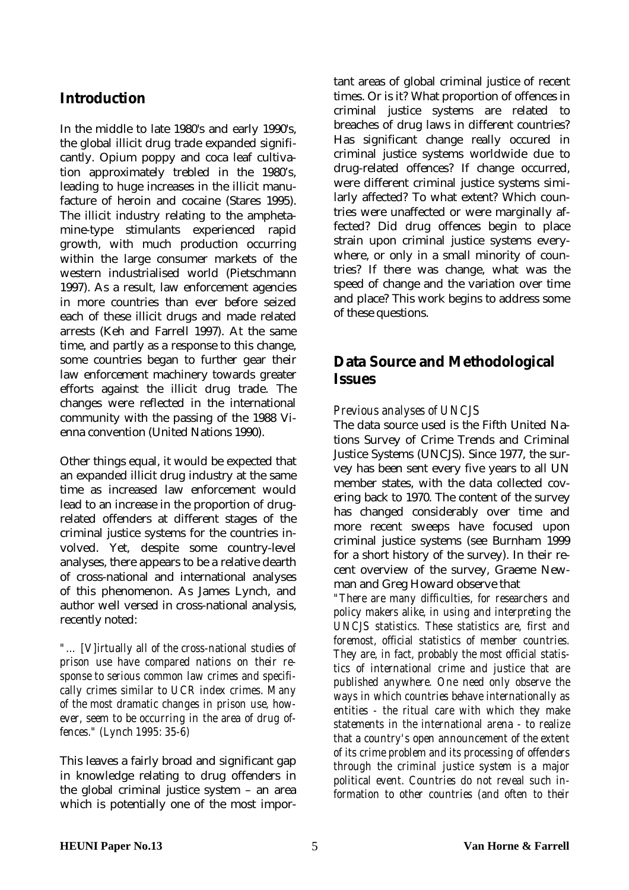# <span id="page-4-0"></span>**Introduction**

In the middle to late 1980's and early 1990's, the global illicit drug trade expanded significantly. Opium poppy and coca leaf cultivation approximately trebled in the 1980's, leading to huge increases in the illicit manufacture of heroin and cocaine (Stares 1995). The illicit industry relating to the amphetamine-type stimulants experienced rapid growth, with much production occurring within the large consumer markets of the western industrialised world (Pietschmann 1997). As a result, law enforcement agencies in more countries than ever before seized each of these illicit drugs and made related arrests (Keh and Farrell 1997). At the same time, and partly as a response to this change, some countries began to further gear their law enforcement machinery towards greater efforts against the illicit drug trade. The changes were reflected in the international community with the passing of the 1988 Vienna convention (United Nations 1990).

Other things equal, it would be expected that an expanded illicit drug industry at the same time as increased law enforcement would lead to an increase in the proportion of drugrelated offenders at different stages of the criminal justice systems for the countries involved. Yet, despite some country-level analyses, there appears to be a relative dearth of cross-national and international analyses of this phenomenon. As James Lynch, and author well versed in cross-national analysis, recently noted:

*"… [V]irtually all of the cross-national studies of prison use have compared nations on their response to serious common law crimes and specifically crimes similar to UCR index crimes. Many of the most dramatic changes in prison use, however, seem to be occurring in the area of drug offences." (Lynch 1995: 35-6)*

This leaves a fairly broad and significant gap in knowledge relating to drug offenders in the global criminal justice system – an area which is potentially one of the most important areas of global criminal justice of recent times. Or is it? What proportion of offences in criminal justice systems are related to breaches of drug laws in different countries? Has significant change really occured in criminal justice systems worldwide due to drug-related offences? If change occurred, were different criminal justice systems similarly affected? To what extent? Which countries were unaffected or were marginally affected? Did drug offences begin to place strain upon criminal justice systems everywhere, or only in a small minority of countries? If there was change, what was the speed of change and the variation over time and place? This work begins to address some of these questions.

# **Data Source and Methodological Issues**

### *Previous analyses of UNCJS*

The data source used is the Fifth United Nations Survey of Crime Trends and Criminal Justice Systems (UNCJS). Since 1977, the survey has been sent every five years to all UN member states, with the data collected covering back to 1970. The content of the survey has changed considerably over time and more recent sweeps have focused upon criminal justice systems (see Burnham 1999 for a short history of the survey). In their recent overview of the survey, Graeme Newman and Greg Howard observe that

*"There are many difficulties, for researchers and policy makers alike, in using and interpreting the UNCJS statistics. These statistics are, first and foremost, official statistics of member countries. They are, in fact, probably the most official statistics of international crime and justice that are published anywhere. One need only observe the ways in which countries behave internationally as entities - the ritual care with which they make statements in the international arena - to realize that a country's open announcement of the extent of its crime problem and its processing of offenders through the criminal justice system is a major political event. Countries do not reveal such information to other countries (and often to their*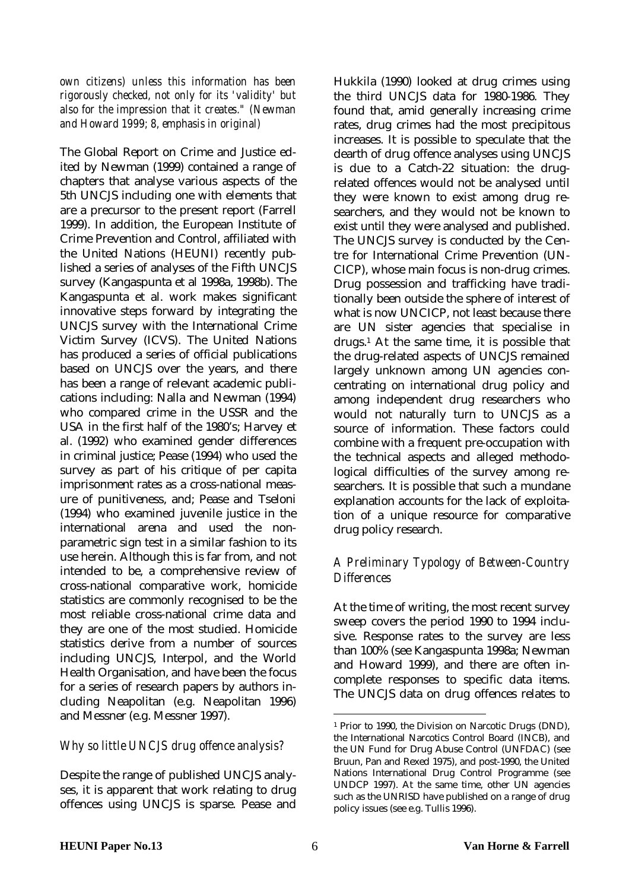*own citizens) unless this information has been rigorously checked, not only for its 'validity' but also for the impression that it creates." (Newman and Howard 1999; 8, emphasis in original)*

The Global Report on Crime and Justice edited by Newman (1999) contained a range of chapters that analyse various aspects of the 5th UNCJS including one with elements that are a precursor to the present report (Farrell 1999). In addition, the European Institute of Crime Prevention and Control, affiliated with the United Nations (HEUNI) recently published a series of analyses of the Fifth UNCJS survey (Kangaspunta et al 1998a, 1998b). The Kangaspunta et al. work makes significant innovative steps forward by integrating the UNCJS survey with the International Crime Victim Survey (ICVS). The United Nations has produced a series of official publications based on UNCJS over the years, and there has been a range of relevant academic publications including: Nalla and Newman (1994) who compared crime in the USSR and the USA in the first half of the 1980's; Harvey et al. (1992) who examined gender differences in criminal justice; Pease (1994) who used the survey as part of his critique of per capita imprisonment rates as a cross-national measure of punitiveness, and; Pease and Tseloni (1994) who examined juvenile justice in the international arena and used the nonparametric sign test in a similar fashion to its use herein. Although this is far from, and not intended to be, a comprehensive review of cross-national comparative work, homicide statistics are commonly recognised to be the most reliable cross-national crime data and they are one of the most studied. Homicide statistics derive from a number of sources including UNCJS, Interpol, and the World Health Organisation, and have been the focus for a series of research papers by authors including Neapolitan (e.g. Neapolitan 1996) and Messner (e.g. Messner 1997).

### *Why so little UNCJS drug offence analysis?*

Despite the range of published UNCJS analyses, it is apparent that work relating to drug offences using UNCJS is sparse. Pease and Hukkila (1990) looked at drug crimes using the third UNCJS data for 1980-1986. They found that, amid generally increasing crime rates, drug crimes had the most precipitous increases. It is possible to speculate that the dearth of drug offence analyses using UNCJS is due to a Catch-22 situation: the drugrelated offences would not be analysed until they were known to exist among drug researchers, and they would not be known to exist until they were analysed and published. The UNCJS survey is conducted by the Centre for International Crime Prevention (UN-CICP), whose main focus is non-drug crimes. Drug possession and trafficking have traditionally been outside the sphere of interest of what is now UNCICP, not least because there are UN sister agencies that specialise in drugs.1 At the same time, it is possible that the drug-related aspects of UNCJS remained largely unknown among UN agencies concentrating on international drug policy and among independent drug researchers who would not naturally turn to UNCJS as a source of information. These factors could combine with a frequent pre-occupation with the technical aspects and alleged methodological difficulties of the survey among researchers. It is possible that such a mundane explanation accounts for the lack of exploitation of a unique resource for comparative drug policy research.

### *A Preliminary Typology of Between-Country Differences*

At the time of writing, the most recent survey sweep covers the period 1990 to 1994 inclusive. Response rates to the survey are less than 100% (see Kangaspunta 1998a; Newman and Howard 1999), and there are often incomplete responses to specific data items. The UNCJS data on drug offences relates to

 $\overline{a}$ 

<sup>1</sup> Prior to 1990, the Division on Narcotic Drugs (DND), the International Narcotics Control Board (INCB), and the UN Fund for Drug Abuse Control (UNFDAC) (see Bruun, Pan and Rexed 1975), and post-1990, the United Nations International Drug Control Programme (see UNDCP 1997). At the same time, other UN agencies such as the UNRISD have published on a range of drug policy issues (see e.g. Tullis 1996).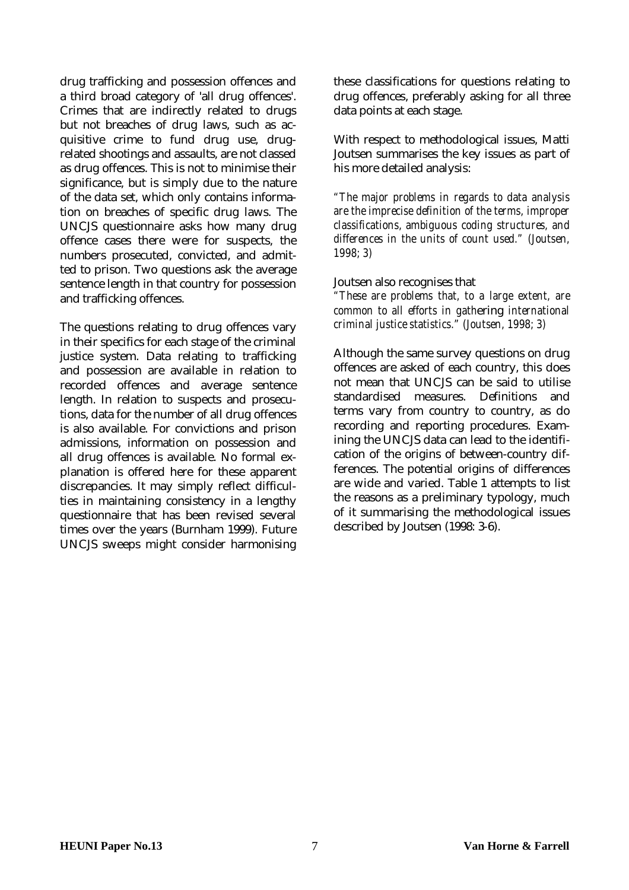drug trafficking and possession offences and a third broad category of 'all drug offences'. Crimes that are indirectly related to drugs but not breaches of drug laws, such as acquisitive crime to fund drug use, drugrelated shootings and assaults, are not classed as drug offences. This is not to minimise their significance, but is simply due to the nature of the data set, which only contains information on breaches of specific drug laws. The UNCJS questionnaire asks how many drug offence cases there were for suspects, the numbers prosecuted, convicted, and admitted to prison. Two questions ask the average sentence length in that country for possession and trafficking offences.

The questions relating to drug offences vary in their specifics for each stage of the criminal justice system. Data relating to trafficking and possession are available in relation to recorded offences and average sentence length. In relation to suspects and prosecutions, data for the number of all drug offences is also available. For convictions and prison admissions, information on possession and all drug offences is available. No formal explanation is offered here for these apparent discrepancies. It may simply reflect difficulties in maintaining consistency in a lengthy questionnaire that has been revised several times over the years (Burnham 1999). Future UNCJS sweeps might consider harmonising these classifications for questions relating to drug offences, preferably asking for all three data points at each stage.

With respect to methodological issues, Matti Joutsen summarises the key issues as part of his more detailed analysis:

*"The major problems in regards to data analysis are the imprecise definition of the terms, improper classifications, ambiguous coding structures, and differences in the units of count used." (Joutsen, 1998; 3)*

#### Joutsen also recognises that

*"These are problems that, to a large extent, are common to all efforts in gath*ering *international criminal justice statistics." (Joutsen, 1998; 3)*

Although the same survey questions on drug offences are asked of each country, this does not mean that UNCJS can be said to utilise standardised measures. Definitions and terms vary from country to country, as do recording and reporting procedures. Examining the UNCJS data can lead to the identification of the origins of between-country differences. The potential origins of differences are wide and varied. Table 1 attempts to list the reasons as a preliminary typology, much of it summarising the methodological issues described by Joutsen (1998: 3-6).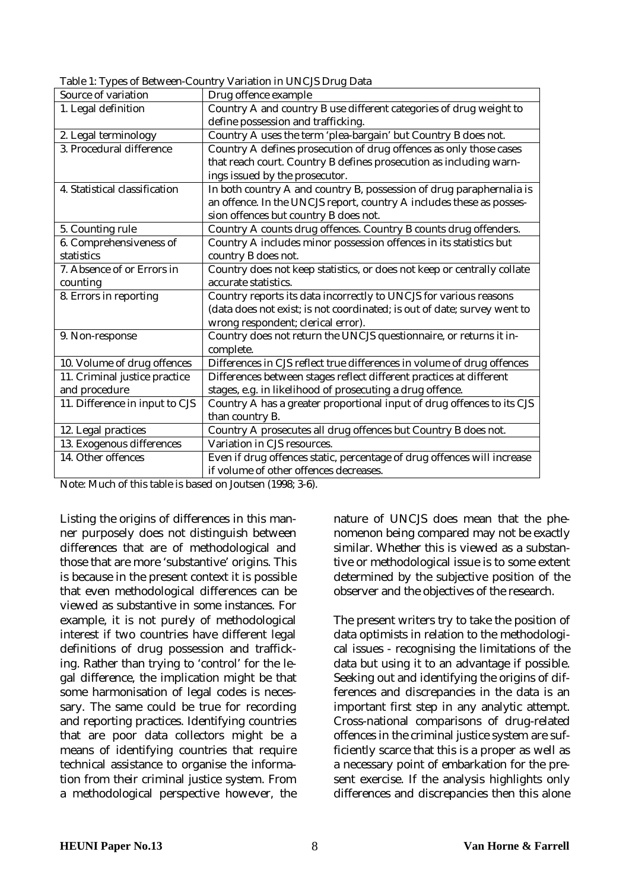Table 1: Types of Between-Country Variation in UNCJS Drug Data

| Source of variation            | Drug offence example                                                     |
|--------------------------------|--------------------------------------------------------------------------|
| 1. Legal definition            | Country A and country B use different categories of drug weight to       |
|                                | define possession and trafficking.                                       |
| 2. Legal terminology           | Country A uses the term 'plea-bargain' but Country B does not.           |
| 3. Procedural difference       | Country A defines prosecution of drug offences as only those cases       |
|                                | that reach court. Country B defines prosecution as including warn-       |
|                                | ings issued by the prosecutor.                                           |
| 4. Statistical classification  | In both country A and country B, possession of drug paraphernalia is     |
|                                | an offence. In the UNCJS report, country A includes these as posses-     |
|                                | sion offences but country B does not.                                    |
| 5. Counting rule               | Country A counts drug offences. Country B counts drug offenders.         |
| 6. Comprehensiveness of        | Country A includes minor possession offences in its statistics but       |
| statistics                     | country B does not.                                                      |
| 7. Absence of or Errors in     | Country does not keep statistics, or does not keep or centrally collate  |
| counting                       | accurate statistics.                                                     |
| 8. Errors in reporting         | Country reports its data incorrectly to UNCJS for various reasons        |
|                                | (data does not exist; is not coordinated; is out of date; survey went to |
|                                | wrong respondent; clerical error).                                       |
| 9. Non-response                | Country does not return the UNCJS questionnaire, or returns it in-       |
|                                | complete.                                                                |
| 10. Volume of drug offences    | Differences in CJS reflect true differences in volume of drug offences   |
| 11. Criminal justice practice  | Differences between stages reflect different practices at different      |
| and procedure                  | stages, e.g. in likelihood of prosecuting a drug offence.                |
| 11. Difference in input to CJS | Country A has a greater proportional input of drug offences to its CJS   |
|                                | than country B.                                                          |
| 12. Legal practices            | Country A prosecutes all drug offences but Country B does not.           |
| 13. Exogenous differences      | Variation in CJS resources.                                              |
| 14. Other offences             | Even if drug offences static, percentage of drug offences will increase  |
|                                | if volume of other offences decreases.                                   |

Note: Much of this table is based on Joutsen (1998; 3-6).

Listing the origins of differences in this manner purposely does not distinguish between differences that are of methodological and those that are more 'substantive' origins. This is because in the present context it is possible that even methodological differences can be viewed as substantive in some instances. For example, it is not purely of methodological interest if two countries have different legal definitions of drug possession and trafficking. Rather than trying to 'control' for the legal difference, the implication might be that some harmonisation of legal codes is necessary. The same could be true for recording and reporting practices. Identifying countries that are poor data collectors might be a means of identifying countries that require technical assistance to organise the information from their criminal justice system. From a methodological perspective however, the

nature of UNCJS does mean that the phenomenon being compared may not be exactly similar. Whether this is viewed as a substantive or methodological issue is to some extent determined by the subjective position of the observer and the objectives of the research.

The present writers try to take the position of data optimists in relation to the methodological issues - recognising the limitations of the data but using it to an advantage if possible. Seeking out and identifying the origins of differences and discrepancies in the data is an important first step in any analytic attempt. Cross-national comparisons of drug-related offences in the criminal justice system are sufficiently scarce that this is a proper as well as a necessary point of embarkation for the present exercise. If the analysis highlights only differences and discrepancies then this alone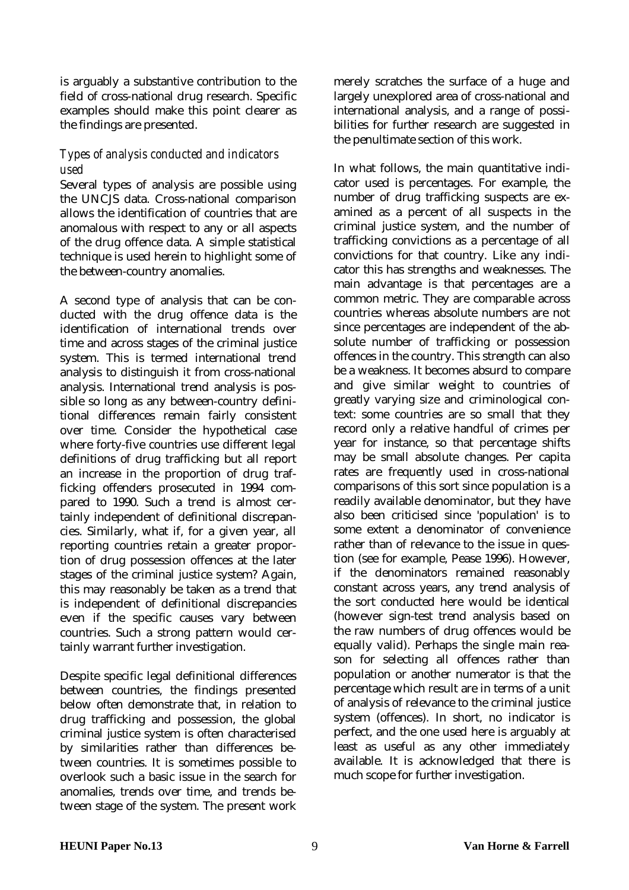is arguably a substantive contribution to the field of cross-national drug research. Specific examples should make this point clearer as the findings are presented.

## *Types of analysis conducted and indicators used*

Several types of analysis are possible using the UNCJS data. Cross-national comparison allows the identification of countries that are anomalous with respect to any or all aspects of the drug offence data. A simple statistical technique is used herein to highlight some of the between-country anomalies.

A second type of analysis that can be conducted with the drug offence data is the identification of international trends over time and across stages of the criminal justice system. This is termed international trend analysis to distinguish it from cross-national analysis. International trend analysis is possible so long as any between-country definitional differences remain fairly consistent over time. Consider the hypothetical case where forty-five countries use different legal definitions of drug trafficking but all report an increase in the proportion of drug trafficking offenders prosecuted in 1994 compared to 1990. Such a trend is almost certainly independent of definitional discrepancies. Similarly, what if, for a given year, all reporting countries retain a greater proportion of drug possession offences at the later stages of the criminal justice system? Again, this may reasonably be taken as a trend that is independent of definitional discrepancies even if the specific causes vary between countries. Such a strong pattern would certainly warrant further investigation.

Despite specific legal definitional differences between countries, the findings presented below often demonstrate that, in relation to drug trafficking and possession, the global criminal justice system is often characterised by similarities rather than differences between countries. It is sometimes possible to overlook such a basic issue in the search for anomalies, trends over time, and trends between stage of the system. The present work

merely scratches the surface of a huge and largely unexplored area of cross-national and international analysis, and a range of possibilities for further research are suggested in the penultimate section of this work.

In what follows, the main quantitative indicator used is percentages. For example, the number of drug trafficking suspects are examined as a percent of all suspects in the criminal justice system, and the number of trafficking convictions as a percentage of all convictions for that country. Like any indicator this has strengths and weaknesses. The main advantage is that percentages are a common metric. They are comparable across countries whereas absolute numbers are not since percentages are independent of the absolute number of trafficking or possession offences in the country. This strength can also be a weakness. It becomes absurd to compare and give similar weight to countries of greatly varying size and criminological context: some countries are so small that they record only a relative handful of crimes per year for instance, so that percentage shifts may be small absolute changes. Per capita rates are frequently used in cross-national comparisons of this sort since population is a readily available denominator, but they have also been criticised since 'population' is to some extent a denominator of convenience rather than of relevance to the issue in question (see for example, Pease 1996). However, if the denominators remained reasonably constant across years, any trend analysis of the sort conducted here would be identical (however sign-test trend analysis based on the raw numbers of drug offences would be equally valid). Perhaps the single main reason for selecting all offences rather than population or another numerator is that the percentage which result are in terms of a unit of analysis of relevance to the criminal justice system (offences). In short, no indicator is perfect, and the one used here is arguably at least as useful as any other immediately available. It is acknowledged that there is much scope for further investigation.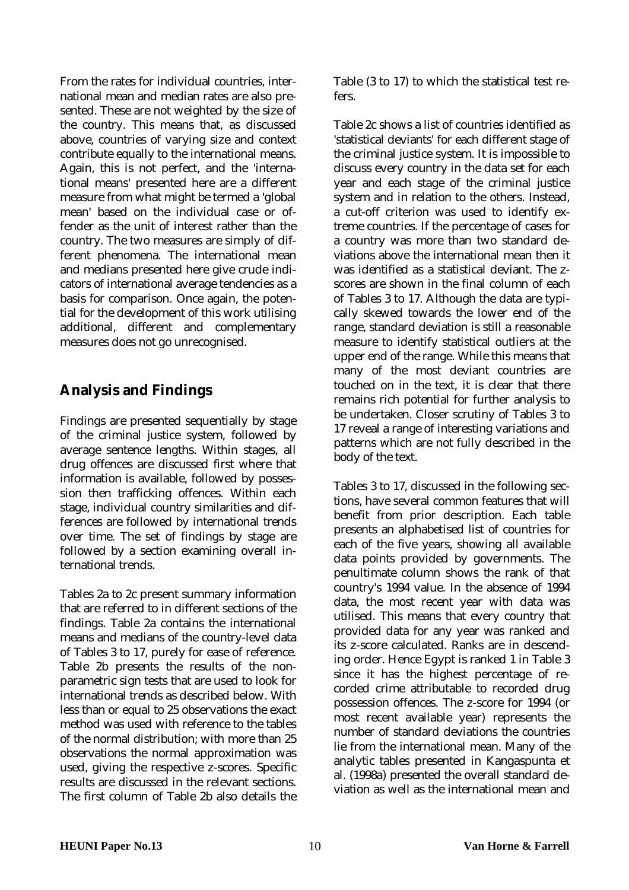<span id="page-9-0"></span>From the rates for individual countries, international mean and median rates are also presented. These are not weighted by the size of the country. This means that, as discussed above, countries of varying size and context contribute equally to the international means. Again, this is not perfect, and the 'international means' presented here are a different measure from what might be termed a 'global mean' based on the individual case or offender as the unit of interest rather than the country. The two measures are simply of different phenomena. The international mean and medians presented here give crude indicators of international average tendencies as a basis for comparison. Once again, the potential for the development of this work utilising additional, different and complementary measures does not go unrecognised.

# **Analysis and Findings**

Findings are presented sequentially by stage of the criminal justice system, followed by average sentence lengths. Within stages, all drug offences are discussed first where that information is available, followed by possession then trafficking offences. Within each stage, individual country similarities and differences are followed by international trends over time. The set of findings by stage are followed by a section examining overall international trends.

Tables 2a to 2c present summary information that are referred to in different sections of the findings. Table 2a contains the international means and medians of the country-level data of Tables 3 to 17, purely for ease of reference. Table 2b presents the results of the nonparametric sign tests that are used to look for international trends as described below. With less than or equal to 25 observations the exact method was used with reference to the tables of the normal distribution; with more than 25 observations the normal approximation was used, giving the respective z-scores. Specific results are discussed in the relevant sections. The first column of Table 2b also details the

Table (3 to 17) to which the statistical test refers.

Table 2c shows a list of countries identified as 'statistical deviants' for each different stage of the criminal justice system. It is impossible to discuss every country in the data set for each year and each stage of the criminal justice system and in relation to the others. Instead, a cut-off criterion was used to identify extreme countries. If the percentage of cases for a country was more than two standard deviations above the international mean then it was identified as a statistical deviant. The zscores are shown in the final column of each of Tables 3 to 17. Although the data are typically skewed towards the lower end of the range, standard deviation is still a reasonable measure to identify statistical outliers at the upper end of the range. While this means that many of the most deviant countries are touched on in the text, it is clear that there remains rich potential for further analysis to be undertaken. Closer scrutiny of Tables 3 to 17 reveal a range of interesting variations and patterns which are not fully described in the body of the text.

Tables 3 to 17, discussed in the following sections, have several common features that will benefit from prior description. Each table presents an alphabetised list of countries for each of the five years, showing all available data points provided by governments. The penultimate column shows the rank of that country's 1994 value. In the absence of 1994 data, the most recent year with data was utilised. This means that every country that provided data for any year was ranked and its z-score calculated. Ranks are in descending order. Hence Egypt is ranked 1 in Table 3 since it has the highest percentage of recorded crime attributable to recorded drug possession offences. The z-score for 1994 (or most recent available year) represents the number of standard deviations the countries lie from the international mean. Many of the analytic tables presented in Kangaspunta et al. (1998a) presented the overall standard deviation as well as the international mean and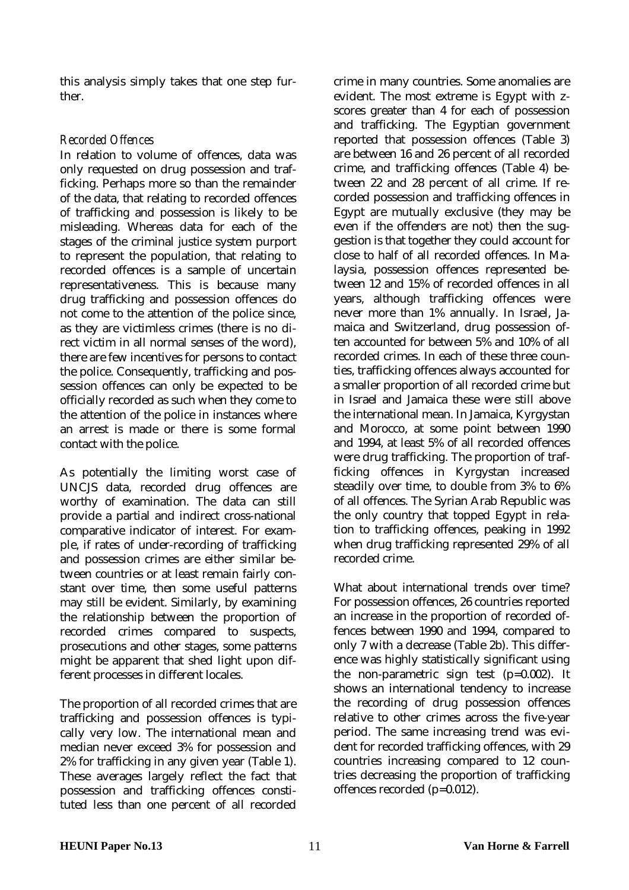this analysis simply takes that one step further.

### *Recorded Offences*

In relation to volume of offences, data was only requested on drug possession and trafficking. Perhaps more so than the remainder of the data, that relating to recorded offences of trafficking and possession is likely to be misleading. Whereas data for each of the stages of the criminal justice system purport to represent the population, that relating to recorded offences is a sample of uncertain representativeness. This is because many drug trafficking and possession offences do not come to the attention of the police since, as they are victimless crimes (there is no direct victim in all normal senses of the word), there are few incentives for persons to contact the police. Consequently, trafficking and possession offences can only be expected to be officially recorded as such when they come to the attention of the police in instances where an arrest is made or there is some formal contact with the police.

As potentially the limiting worst case of UNCJS data, recorded drug offences are worthy of examination. The data can still provide a partial and indirect cross-national comparative indicator of interest. For example, if rates of under-recording of trafficking and possession crimes are either similar between countries or at least remain fairly constant over time, then some useful patterns may still be evident. Similarly, by examining the relationship between the proportion of recorded crimes compared to suspects, prosecutions and other stages, some patterns might be apparent that shed light upon different processes in different locales.

The proportion of all recorded crimes that are trafficking and possession offences is typically very low. The international mean and median never exceed 3% for possession and 2% for trafficking in any given year (Table 1). These averages largely reflect the fact that possession and trafficking offences constituted less than one percent of all recorded

crime in many countries. Some anomalies are evident. The most extreme is Egypt with zscores greater than 4 for each of possession and trafficking. The Egyptian government reported that possession offences (Table 3) are between 16 and 26 percent of all recorded crime, and trafficking offences (Table 4) between 22 and 28 percent of all crime. If recorded possession and trafficking offences in Egypt are mutually exclusive (they may be even if the offenders are not) then the suggestion is that together they could account for close to half of all recorded offences. In Malaysia, possession offences represented between 12 and 15% of recorded offences in all years, although trafficking offences were never more than 1% annually. In Israel, Jamaica and Switzerland, drug possession often accounted for between 5% and 10% of all recorded crimes. In each of these three counties, trafficking offences always accounted for a smaller proportion of all recorded crime but in Israel and Jamaica these were still above the international mean. In Jamaica, Kyrgystan and Morocco, at some point between 1990 and 1994, at least 5% of all recorded offences were drug trafficking. The proportion of trafficking offences in Kyrgystan increased steadily over time, to double from 3% to 6% of all offences. The Syrian Arab Republic was the only country that topped Egypt in relation to trafficking offences, peaking in 1992 when drug trafficking represented 29% of all recorded crime.

What about international trends over time? For possession offences, 26 countries reported an increase in the proportion of recorded offences between 1990 and 1994, compared to only 7 with a decrease (Table 2b). This difference was highly statistically significant using the non-parametric sign test (p=0.002). It shows an international tendency to increase the recording of drug possession offences relative to other crimes across the five-year period. The same increasing trend was evident for recorded trafficking offences, with 29 countries increasing compared to 12 countries decreasing the proportion of trafficking offences recorded (p=0.012).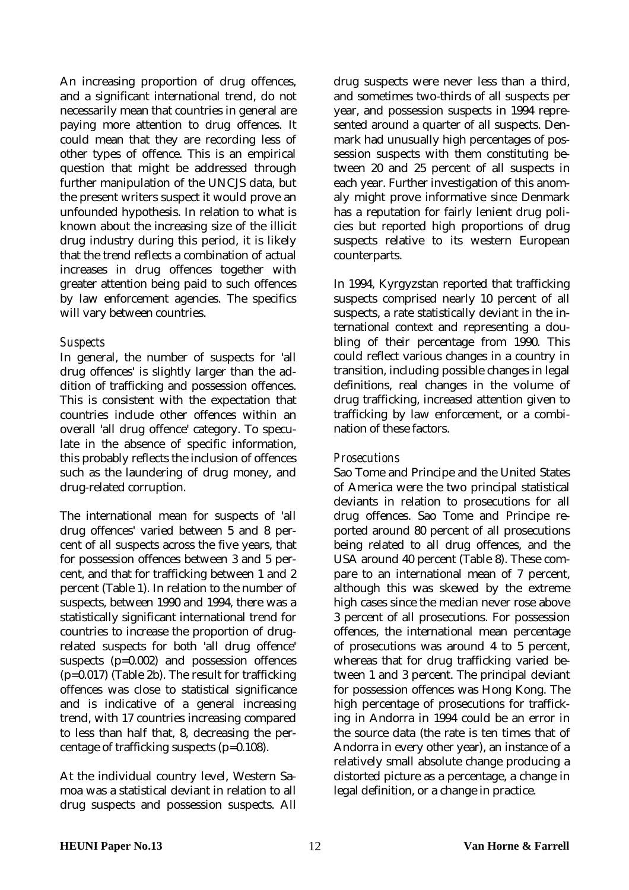An increasing proportion of drug offences, and a significant international trend, do not necessarily mean that countries in general are paying more attention to drug offences. It could mean that they are recording less of other types of offence. This is an empirical question that might be addressed through further manipulation of the UNCJS data, but the present writers suspect it would prove an unfounded hypothesis. In relation to what is known about the increasing size of the illicit drug industry during this period, it is likely that the trend reflects a combination of actual increases in drug offences together with greater attention being paid to such offences by law enforcement agencies. The specifics will vary between countries.

#### *Suspects*

In general, the number of suspects for 'all drug offences' is slightly larger than the addition of trafficking and possession offences. This is consistent with the expectation that countries include other offences within an overall 'all drug offence' category. To speculate in the absence of specific information, this probably reflects the inclusion of offences such as the laundering of drug money, and drug-related corruption.

The international mean for suspects of 'all drug offences' varied between 5 and 8 percent of all suspects across the five years, that for possession offences between 3 and 5 percent, and that for trafficking between 1 and 2 percent (Table 1). In relation to the number of suspects, between 1990 and 1994, there was a statistically significant international trend for countries to increase the proportion of drugrelated suspects for both 'all drug offence' suspects (p=0.002) and possession offences (p=0.017) (Table 2b). The result for trafficking offences was close to statistical significance and is indicative of a general increasing trend, with 17 countries increasing compared to less than half that, 8, decreasing the percentage of trafficking suspects (p=0.108).

At the individual country level, Western Samoa was a statistical deviant in relation to all drug suspects and possession suspects. All drug suspects were never less than a third, and sometimes two-thirds of all suspects per year, and possession suspects in 1994 represented around a quarter of all suspects. Denmark had unusually high percentages of possession suspects with them constituting between 20 and 25 percent of all suspects in each year. Further investigation of this anomaly might prove informative since Denmark has a reputation for fairly lenient drug policies but reported high proportions of drug suspects relative to its western European counterparts.

In 1994, Kyrgyzstan reported that trafficking suspects comprised nearly 10 percent of all suspects, a rate statistically deviant in the international context and representing a doubling of their percentage from 1990. This could reflect various changes in a country in transition, including possible changes in legal definitions, real changes in the volume of drug trafficking, increased attention given to trafficking by law enforcement, or a combination of these factors.

### *Prosecutions*

Sao Tome and Principe and the United States of America were the two principal statistical deviants in relation to prosecutions for all drug offences. Sao Tome and Principe reported around 80 percent of all prosecutions being related to all drug offences, and the USA around 40 percent (Table 8). These compare to an international mean of 7 percent, although this was skewed by the extreme high cases since the median never rose above 3 percent of all prosecutions. For possession offences, the international mean percentage of prosecutions was around 4 to 5 percent, whereas that for drug trafficking varied between 1 and 3 percent. The principal deviant for possession offences was Hong Kong. The high percentage of prosecutions for trafficking in Andorra in 1994 could be an error in the source data (the rate is ten times that of Andorra in every other year), an instance of a relatively small absolute change producing a distorted picture as a percentage, a change in legal definition, or a change in practice.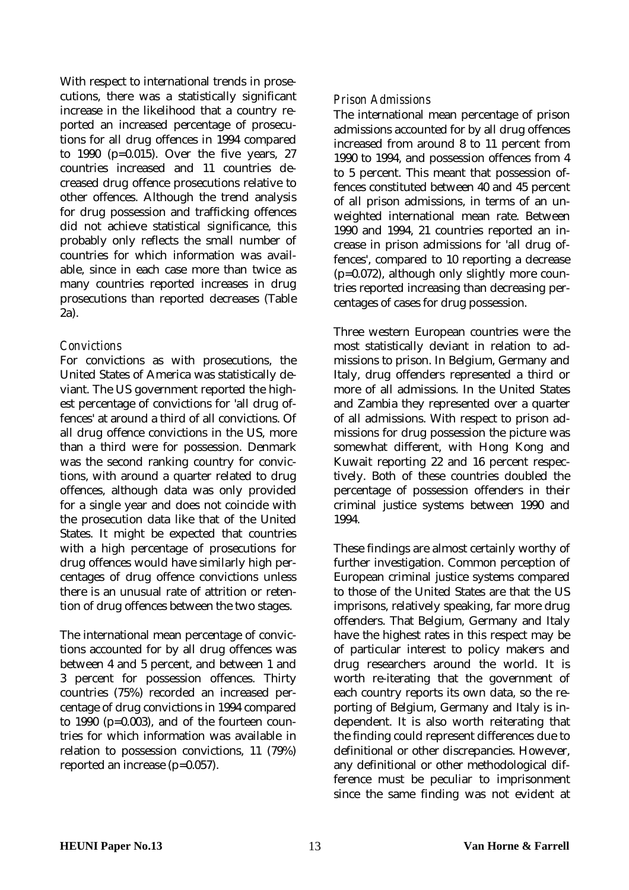With respect to international trends in prosecutions, there was a statistically significant increase in the likelihood that a country reported an increased percentage of prosecutions for all drug offences in 1994 compared to 1990 (p=0.015). Over the five years, 27 countries increased and 11 countries decreased drug offence prosecutions relative to other offences. Although the trend analysis for drug possession and trafficking offences did not achieve statistical significance, this probably only reflects the small number of countries for which information was available, since in each case more than twice as many countries reported increases in drug prosecutions than reported decreases (Table 2a).

### *Convictions*

For convictions as with prosecutions, the United States of America was statistically deviant. The US government reported the highest percentage of convictions for 'all drug offences' at around a third of all convictions. Of all drug offence convictions in the US, more than a third were for possession. Denmark was the second ranking country for convictions, with around a quarter related to drug offences, although data was only provided for a single year and does not coincide with the prosecution data like that of the United States. It might be expected that countries with a high percentage of prosecutions for drug offences would have similarly high percentages of drug offence convictions unless there is an unusual rate of attrition or retention of drug offences between the two stages.

The international mean percentage of convictions accounted for by all drug offences was between 4 and 5 percent, and between 1 and 3 percent for possession offences. Thirty countries (75%) recorded an increased percentage of drug convictions in 1994 compared to 1990 (p=0.003), and of the fourteen countries for which information was available in relation to possession convictions, 11 (79%) reported an increase (p=0.057).

### *Prison Admissions*

The international mean percentage of prison admissions accounted for by all drug offences increased from around 8 to 11 percent from 1990 to 1994, and possession offences from 4 to 5 percent. This meant that possession offences constituted between 40 and 45 percent of all prison admissions, in terms of an unweighted international mean rate. Between 1990 and 1994, 21 countries reported an increase in prison admissions for 'all drug offences', compared to 10 reporting a decrease (p=0.072), although only slightly more countries reported increasing than decreasing percentages of cases for drug possession.

Three western European countries were the most statistically deviant in relation to admissions to prison. In Belgium, Germany and Italy, drug offenders represented a third or more of all admissions. In the United States and Zambia they represented over a quarter of all admissions. With respect to prison admissions for drug possession the picture was somewhat different, with Hong Kong and Kuwait reporting 22 and 16 percent respectively. Both of these countries doubled the percentage of possession offenders in their criminal justice systems between 1990 and 1994.

These findings are almost certainly worthy of further investigation. Common perception of European criminal justice systems compared to those of the United States are that the US imprisons, relatively speaking, far more drug offenders. That Belgium, Germany and Italy have the highest rates in this respect may be of particular interest to policy makers and drug researchers around the world. It is worth re-iterating that the government of each country reports its own data, so the reporting of Belgium, Germany and Italy is independent. It is also worth reiterating that the finding could represent differences due to definitional or other discrepancies. However, any definitional or other methodological difference must be peculiar to imprisonment since the same finding was not evident at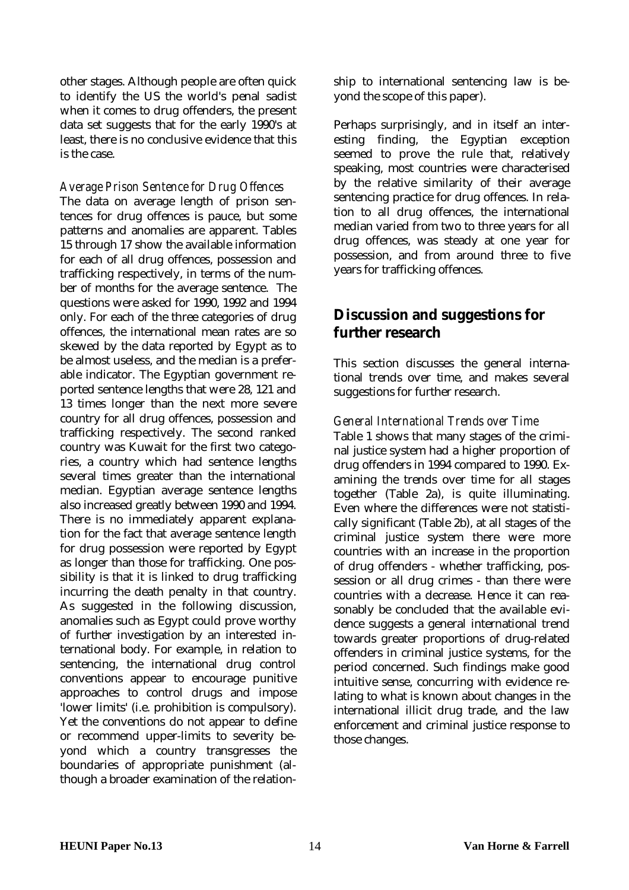<span id="page-13-0"></span>other stages. Although people are often quick to identify the US the world's penal sadist when it comes to drug offenders, the present data set suggests that for the early 1990's at least, there is no conclusive evidence that this is the case.

#### *Average Prison Sentence for Drug Offences*

The data on average length of prison sentences for drug offences is pauce, but some patterns and anomalies are apparent. Tables 15 through 17 show the available information for each of all drug offences, possession and trafficking respectively, in terms of the number of months for the average sentence. The questions were asked for 1990, 1992 and 1994 only. For each of the three categories of drug offences, the international mean rates are so skewed by the data reported by Egypt as to be almost useless, and the median is a preferable indicator. The Egyptian government reported sentence lengths that were 28, 121 and 13 times longer than the next more severe country for all drug offences, possession and trafficking respectively. The second ranked country was Kuwait for the first two categories, a country which had sentence lengths several times greater than the international median. Egyptian average sentence lengths also increased greatly between 1990 and 1994. There is no immediately apparent explanation for the fact that average sentence length for drug possession were reported by Egypt as longer than those for trafficking. One possibility is that it is linked to drug trafficking incurring the death penalty in that country. As suggested in the following discussion, anomalies such as Egypt could prove worthy of further investigation by an interested international body. For example, in relation to sentencing, the international drug control conventions appear to encourage punitive approaches to control drugs and impose 'lower limits' (i.e. prohibition is compulsory). Yet the conventions do not appear to define or recommend upper-limits to severity beyond which a country transgresses the boundaries of appropriate punishment (although a broader examination of the relationship to international sentencing law is beyond the scope of this paper).

Perhaps surprisingly, and in itself an interesting finding, the Egyptian exception seemed to prove the rule that, relatively speaking, most countries were characterised by the relative similarity of their average sentencing practice for drug offences. In relation to all drug offences, the international median varied from two to three years for all drug offences, was steady at one year for possession, and from around three to five years for trafficking offences.

# **Discussion and suggestions for further research**

This section discusses the general international trends over time, and makes several suggestions for further research.

#### *General International Trends over Time*

Table 1 shows that many stages of the criminal justice system had a higher proportion of drug offenders in 1994 compared to 1990. Examining the trends over time for all stages together (Table 2a), is quite illuminating. Even where the differences were not statistically significant (Table 2b), at all stages of the criminal justice system there were more countries with an increase in the proportion of drug offenders - whether trafficking, possession or all drug crimes - than there were countries with a decrease. Hence it can reasonably be concluded that the available evidence suggests a general international trend towards greater proportions of drug-related offenders in criminal justice systems, for the period concerned. Such findings make good intuitive sense, concurring with evidence relating to what is known about changes in the international illicit drug trade, and the law enforcement and criminal justice response to those changes.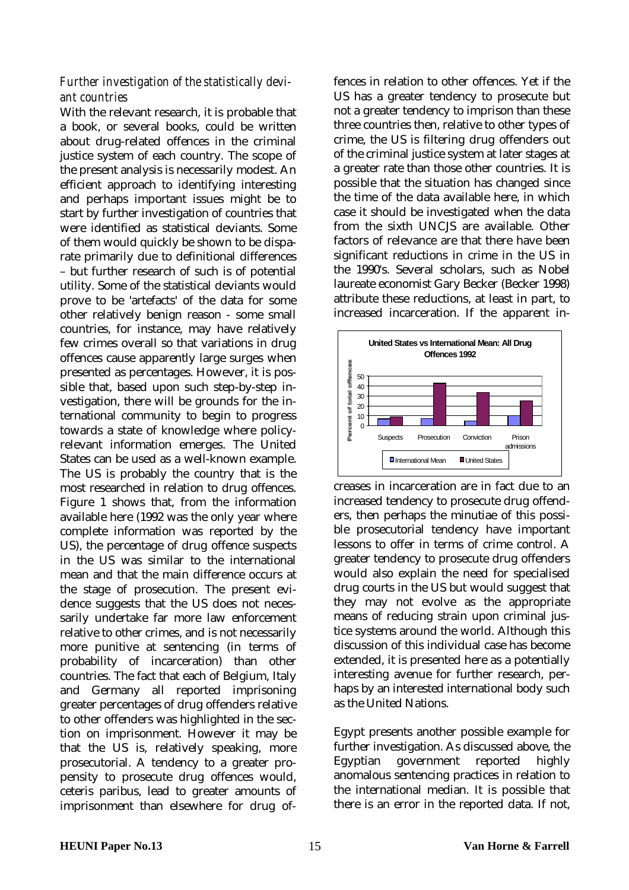### *Further investigation of the statistically deviant countries*

With the relevant research, it is probable that a book, or several books, could be written about drug-related offences in the criminal justice system of each country. The scope of the present analysis is necessarily modest. An efficient approach to identifying interesting and perhaps important issues might be to start by further investigation of countries that were identified as statistical deviants. Some of them would quickly be shown to be disparate primarily due to definitional differences – but further research of such is of potential utility. Some of the statistical deviants would prove to be 'artefacts' of the data for some other relatively benign reason - some small countries, for instance, may have relatively few crimes overall so that variations in drug offences cause apparently large surges when presented as percentages. However, it is possible that, based upon such step-by-step investigation, there will be grounds for the international community to begin to progress towards a state of knowledge where policyrelevant information emerges. The United States can be used as a well-known example. The US is probably the country that is the most researched in relation to drug offences. Figure 1 shows that, from the information available here (1992 was the only year where complete information was reported by the US), the percentage of drug offence suspects in the US was similar to the international mean and that the main difference occurs at the stage of prosecution. The present evidence suggests that the US does not necessarily undertake far more law enforcement relative to other crimes, and is not necessarily more punitive at sentencing (in terms of probability of incarceration) than other countries. The fact that each of Belgium, Italy and Germany all reported imprisoning greater percentages of drug offenders relative to other offenders was highlighted in the section on imprisonment. However it may be that the US is, relatively speaking, more prosecutorial. A tendency to a greater propensity to prosecute drug offences would, ceteris paribus, lead to greater amounts of imprisonment than elsewhere for drug offences in relation to other offences. Yet if the US has a greater tendency to prosecute but not a greater tendency to imprison than these three countries then, relative to other types of crime, the US is filtering drug offenders out of the criminal justice system at later stages at a greater rate than those other countries. It is possible that the situation has changed since the time of the data available here, in which case it should be investigated when the data from the sixth UNCJS are available. Other factors of relevance are that there have been significant reductions in crime in the US in the 1990's. Several scholars, such as Nobel laureate economist Gary Becker (Becker 1998) attribute these reductions, at least in part, to increased incarceration. If the apparent in-



creases in incarceration are in fact due to an increased tendency to prosecute drug offenders, then perhaps the minutiae of this possible prosecutorial tendency have important lessons to offer in terms of crime control. A greater tendency to prosecute drug offenders would also explain the need for specialised drug courts in the US but would suggest that they may not evolve as the appropriate means of reducing strain upon criminal justice systems around the world. Although this discussion of this individual case has become extended, it is presented here as a potentially interesting avenue for further research, perhaps by an interested international body such as the United Nations.

Egypt presents another possible example for further investigation. As discussed above, the Egyptian government reported highly anomalous sentencing practices in relation to the international median. It is possible that there is an error in the reported data. If not,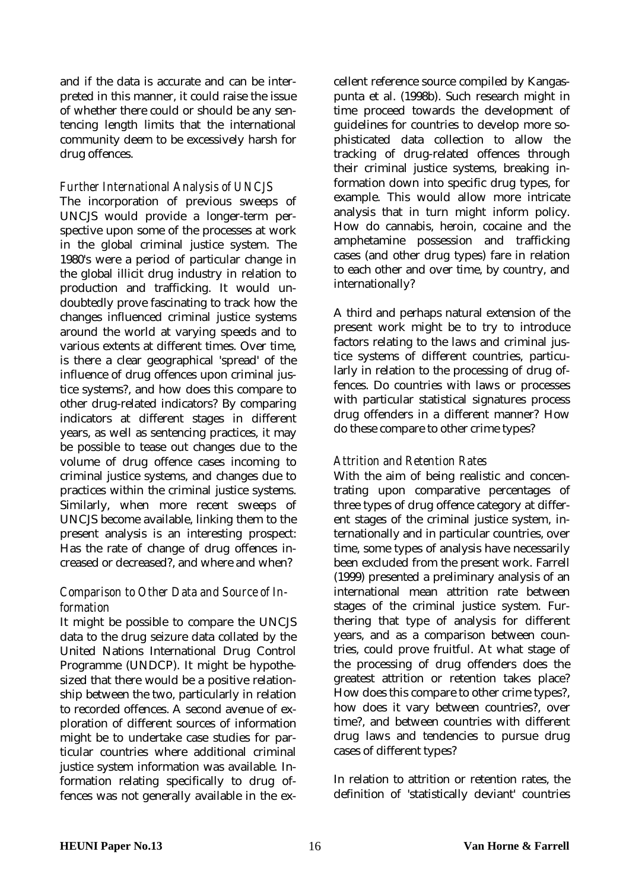and if the data is accurate and can be interpreted in this manner, it could raise the issue of whether there could or should be any sentencing length limits that the international community deem to be excessively harsh for drug offences.

### *Further International Analysis of UNCJS*

The incorporation of previous sweeps of UNCJS would provide a longer-term perspective upon some of the processes at work in the global criminal justice system. The 1980's were a period of particular change in the global illicit drug industry in relation to production and trafficking. It would undoubtedly prove fascinating to track how the changes influenced criminal justice systems around the world at varying speeds and to various extents at different times. Over time, is there a clear geographical 'spread' of the influence of drug offences upon criminal justice systems?, and how does this compare to other drug-related indicators? By comparing indicators at different stages in different years, as well as sentencing practices, it may be possible to tease out changes due to the volume of drug offence cases incoming to criminal justice systems, and changes due to practices within the criminal justice systems. Similarly, when more recent sweeps of UNCJS become available, linking them to the present analysis is an interesting prospect: Has the rate of change of drug offences increased or decreased?, and where and when?

### *Comparison to Other Data and Source of Information*

It might be possible to compare the UNCJS data to the drug seizure data collated by the United Nations International Drug Control Programme (UNDCP). It might be hypothesized that there would be a positive relationship between the two, particularly in relation to recorded offences. A second avenue of exploration of different sources of information might be to undertake case studies for particular countries where additional criminal justice system information was available. Information relating specifically to drug offences was not generally available in the excellent reference source compiled by Kangaspunta et al. (1998b). Such research might in time proceed towards the development of guidelines for countries to develop more sophisticated data collection to allow the tracking of drug-related offences through their criminal justice systems, breaking information down into specific drug types, for example. This would allow more intricate analysis that in turn might inform policy. How do cannabis, heroin, cocaine and the amphetamine possession and trafficking cases (and other drug types) fare in relation to each other and over time, by country, and internationally?

A third and perhaps natural extension of the present work might be to try to introduce factors relating to the laws and criminal justice systems of different countries, particularly in relation to the processing of drug offences. Do countries with laws or processes with particular statistical signatures process drug offenders in a different manner? How do these compare to other crime types?

### *Attrition and Retention Rates*

With the aim of being realistic and concentrating upon comparative percentages of three types of drug offence category at different stages of the criminal justice system, internationally and in particular countries, over time, some types of analysis have necessarily been excluded from the present work. Farrell (1999) presented a preliminary analysis of an international mean attrition rate between stages of the criminal justice system. Furthering that type of analysis for different years, and as a comparison between countries, could prove fruitful. At what stage of the processing of drug offenders does the greatest attrition or retention takes place? How does this compare to other crime types?, how does it vary between countries?, over time?, and between countries with different drug laws and tendencies to pursue drug cases of different types?

In relation to attrition or retention rates, the definition of 'statistically deviant' countries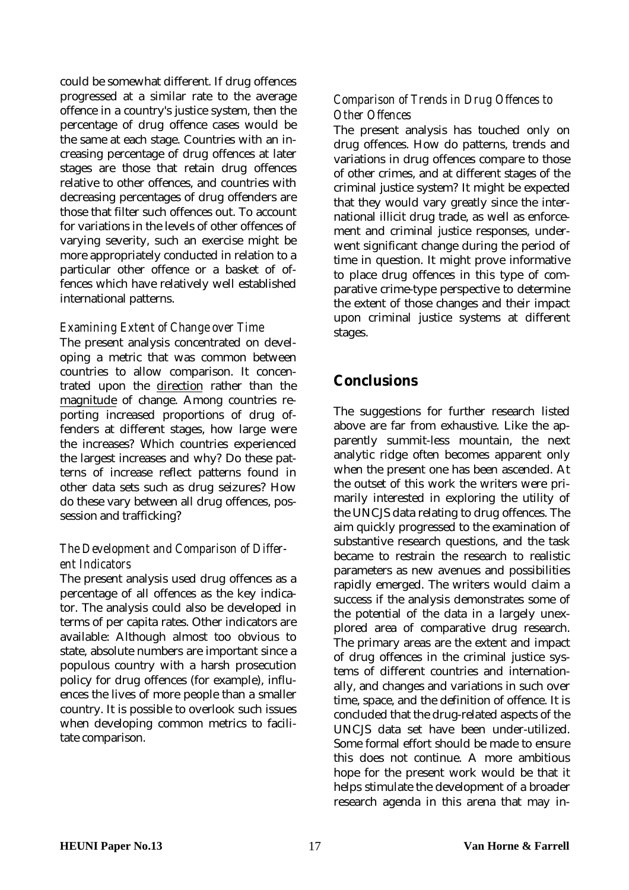<span id="page-16-0"></span>could be somewhat different. If drug offences progressed at a similar rate to the average offence in a country's justice system, then the percentage of drug offence cases would be the same at each stage. Countries with an increasing percentage of drug offences at later stages are those that retain drug offences relative to other offences, and countries with decreasing percentages of drug offenders are those that filter such offences out. To account for variations in the levels of other offences of varying severity, such an exercise might be more appropriately conducted in relation to a particular other offence or a basket of offences which have relatively well established international patterns.

### *Examining Extent of Change over Time*

The present analysis concentrated on developing a metric that was common between countries to allow comparison. It concentrated upon the direction rather than the magnitude of change. Among countries reporting increased proportions of drug offenders at different stages, how large were the increases? Which countries experienced the largest increases and why? Do these patterns of increase reflect patterns found in other data sets such as drug seizures? How do these vary between all drug offences, possession and trafficking?

### *The Development and Comparison of Different Indicators*

The present analysis used drug offences as a percentage of all offences as the key indicator. The analysis could also be developed in terms of per capita rates. Other indicators are available: Although almost too obvious to state, absolute numbers are important since a populous country with a harsh prosecution policy for drug offences (for example), influences the lives of more people than a smaller country. It is possible to overlook such issues when developing common metrics to facilitate comparison.

### *Comparison of Trends in Drug Offences to Other Offences*

The present analysis has touched only on drug offences. How do patterns, trends and variations in drug offences compare to those of other crimes, and at different stages of the criminal justice system? It might be expected that they would vary greatly since the international illicit drug trade, as well as enforcement and criminal justice responses, underwent significant change during the period of time in question. It might prove informative to place drug offences in this type of comparative crime-type perspective to determine the extent of those changes and their impact upon criminal justice systems at different stages.

# **Conclusions**

The suggestions for further research listed above are far from exhaustive. Like the apparently summit-less mountain, the next analytic ridge often becomes apparent only when the present one has been ascended. At the outset of this work the writers were primarily interested in exploring the utility of the UNCJS data relating to drug offences. The aim quickly progressed to the examination of substantive research questions, and the task became to restrain the research to realistic parameters as new avenues and possibilities rapidly emerged. The writers would claim a success if the analysis demonstrates some of the potential of the data in a largely unexplored area of comparative drug research. The primary areas are the extent and impact of drug offences in the criminal justice systems of different countries and internationally, and changes and variations in such over time, space, and the definition of offence. It is concluded that the drug-related aspects of the UNCJS data set have been under-utilized. Some formal effort should be made to ensure this does not continue. A more ambitious hope for the present work would be that it helps stimulate the development of a broader research agenda in this arena that may in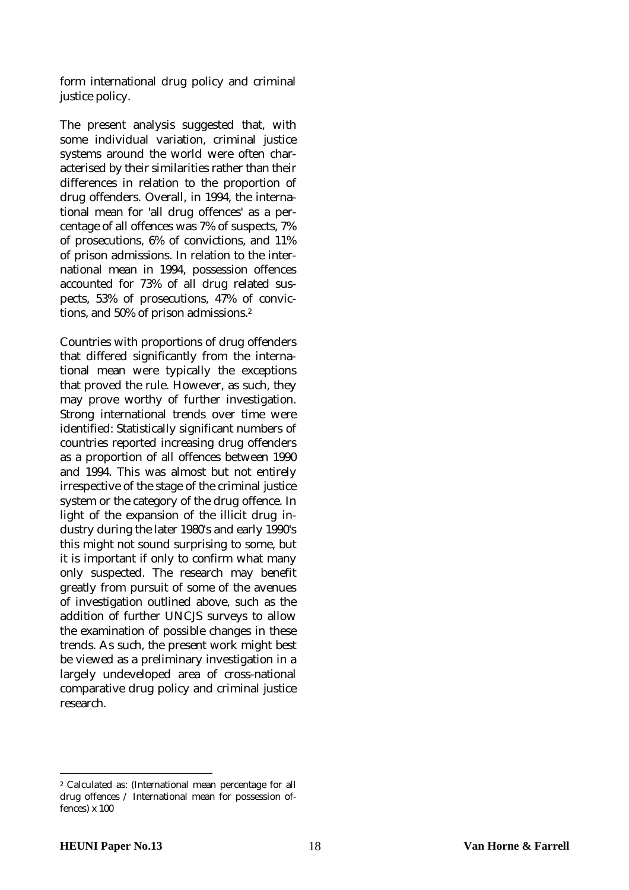form international drug policy and criminal justice policy.

The present analysis suggested that, with some individual variation, criminal justice systems around the world were often characterised by their similarities rather than their differences in relation to the proportion of drug offenders. Overall, in 1994, the international mean for 'all drug offences' as a percentage of all offences was 7% of suspects, 7% of prosecutions, 6% of convictions, and 11% of prison admissions. In relation to the international mean in 1994, possession offences accounted for 73% of all drug related suspects, 53% of prosecutions, 47% of convictions, and 50% of prison admissions.2

Countries with proportions of drug offenders that differed significantly from the international mean were typically the exceptions that proved the rule. However, as such, they may prove worthy of further investigation. Strong international trends over time were identified: Statistically significant numbers of countries reported increasing drug offenders as a proportion of all offences between 1990 and 1994. This was almost but not entirely irrespective of the stage of the criminal justice system or the category of the drug offence. In light of the expansion of the illicit drug industry during the later 1980's and early 1990's this might not sound surprising to some, but it is important if only to confirm what many only suspected. The research may benefit greatly from pursuit of some of the avenues of investigation outlined above, such as the addition of further UNCJS surveys to allow the examination of possible changes in these trends. As such, the present work might best be viewed as a preliminary investigation in a largely undeveloped area of cross-national comparative drug policy and criminal justice research.

 $\overline{a}$ 

<sup>2</sup> Calculated as: (International mean percentage for all drug offences / International mean for possession offences) x 100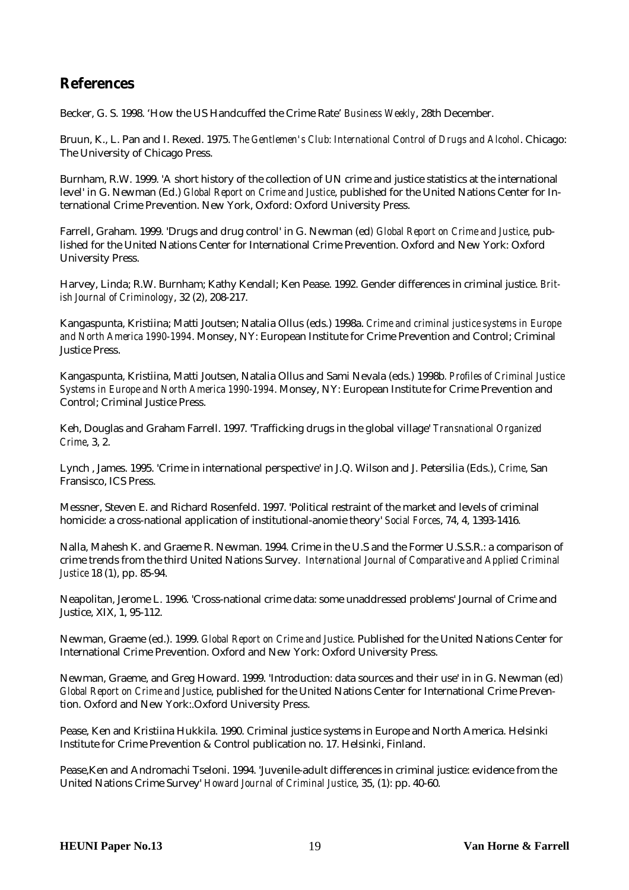# <span id="page-18-0"></span>**References**

Becker, G. S. 1998. 'How the US Handcuffed the Crime Rate' *Business Weekly*, 28th December.

Bruun, K., L. Pan and I. Rexed. 1975. *The Gentlemen's Club: International Control of Drugs and Alcohol*. Chicago: The University of Chicago Press.

Burnham, R.W. 1999. 'A short history of the collection of UN crime and justice statistics at the international level' in G. Newman (Ed.) *Global Report on Crime and Justice*, published for the United Nations Center for International Crime Prevention. New York, Oxford: Oxford University Press.

Farrell, Graham. 1999. 'Drugs and drug control' in G. Newman (ed*) Global Report on Crime and Justice*, published for the United Nations Center for International Crime Prevention. Oxford and New York: Oxford University Press.

Harvey, Linda; R.W. Burnham; Kathy Kendall; Ken Pease. 1992. Gender differences in criminal justice. *British Journal of Criminology*, 32 (2), 208-217.

Kangaspunta, Kristiina; Matti Joutsen; Natalia Ollus (eds.) 1998a. *Crime and criminal justice systems in Europe and North America 1990-1994*. Monsey, NY: European Institute for Crime Prevention and Control; Criminal Justice Press.

Kangaspunta, Kristiina, Matti Joutsen, Natalia Ollus and Sami Nevala (eds.) 1998b*. Profiles of Criminal Justice Systems in Europe and North America 1990-1994*. Monsey, NY: European Institute for Crime Prevention and Control; Criminal Justice Press.

Keh, Douglas and Graham Farrell. 1997. 'Trafficking drugs in the global village' *Transnational Organized Crime*, 3, 2.

Lynch , James. 1995. 'Crime in international perspective' in J.Q. Wilson and J. Petersilia (Eds.), *Crime*, San Fransisco, ICS Press.

Messner, Steven E. and Richard Rosenfeld. 1997. 'Political restraint of the market and levels of criminal homicide: a cross-national application of institutional-anomie theory' *Social Forces*, 74, 4, 1393-1416.

Nalla, Mahesh K. and Graeme R. Newman. 1994. Crime in the U.S and the Former U.S.S.R.: a comparison of crime trends from the third United Nations Survey. *International Journal of Comparative and Applied Criminal Justice* 18 (1), pp. 85-94.

Neapolitan, Jerome L. 1996. 'Cross-national crime data: some unaddressed problems' Journal of Crime and Justice, XIX, 1, 95-112.

Newman, Graeme (ed.). 1999. *Global Report on Crime and Justice*. Published for the United Nations Center for International Crime Prevention. Oxford and New York: Oxford University Press.

Newman, Graeme, and Greg Howard. 1999. 'Introduction: data sources and their use' in in G. Newman (ed*) Global Report on Crime and Justice*, published for the United Nations Center for International Crime Prevention. Oxford and New York:.Oxford University Press.

Pease, Ken and Kristiina Hukkila. 1990. Criminal justice systems in Europe and North America. Helsinki Institute for Crime Prevention & Control publication no. 17. Helsinki, Finland.

Pease,Ken and Andromachi Tseloni. 1994. 'Juvenile-adult differences in criminal justice: evidence from the United Nations Crime Survey' *Howard Journal of Criminal Justice*, 35, (1): pp. 40-60.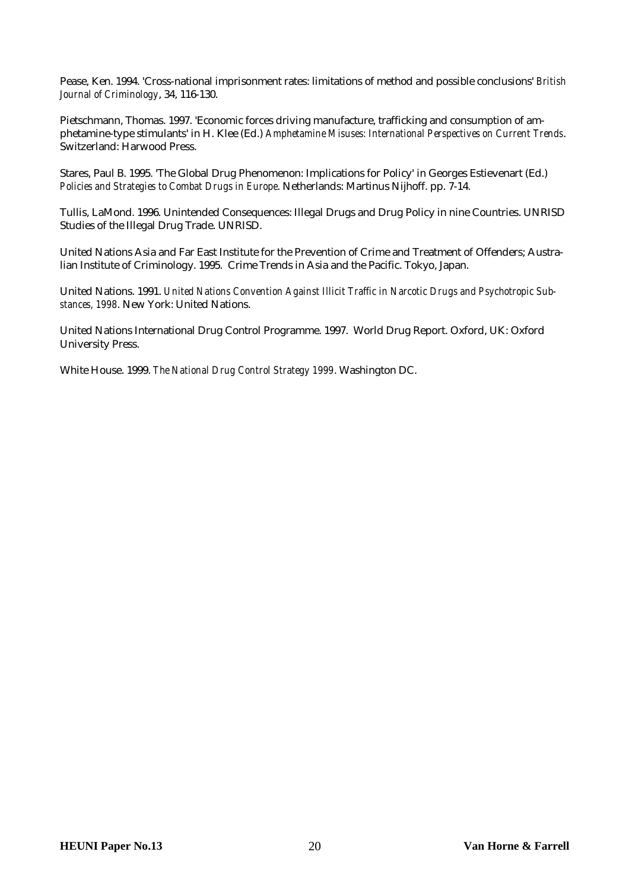Pease, Ken. 1994. 'Cross-national imprisonment rates: limitations of method and possible conclusions' *British Journal of Criminology*, 34, 116-130.

Pietschmann, Thomas. 1997. 'Economic forces driving manufacture, trafficking and consumption of amphetamine-type stimulants' in H. Klee (Ed.) *Amphetamine Misuses: International Perspectives on Current Trends*. Switzerland: Harwood Press.

Stares, Paul B. 1995. 'The Global Drug Phenomenon: Implications for Policy' in Georges Estievenart (Ed.) *Policies and Strategies to Combat Drugs in Europe*. Netherlands: Martinus Nijhoff. pp. 7-14.

Tullis, LaMond. 1996. Unintended Consequences: Illegal Drugs and Drug Policy in nine Countries. UNRISD Studies of the Illegal Drug Trade. UNRISD.

United Nations Asia and Far East Institute for the Prevention of Crime and Treatment of Offenders; Australian Institute of Criminology. 1995. Crime Trends in Asia and the Pacific. Tokyo, Japan.

United Nations. 1991. *United Nations Convention Against Illicit Traffic in Narcotic Drugs and Psychotropic Substances, 1998*. New York: United Nations.

United Nations International Drug Control Programme. 1997. World Drug Report. Oxford, UK: Oxford University Press.

White House. 1999. *The National Drug Control Strategy 1999*. Washington DC.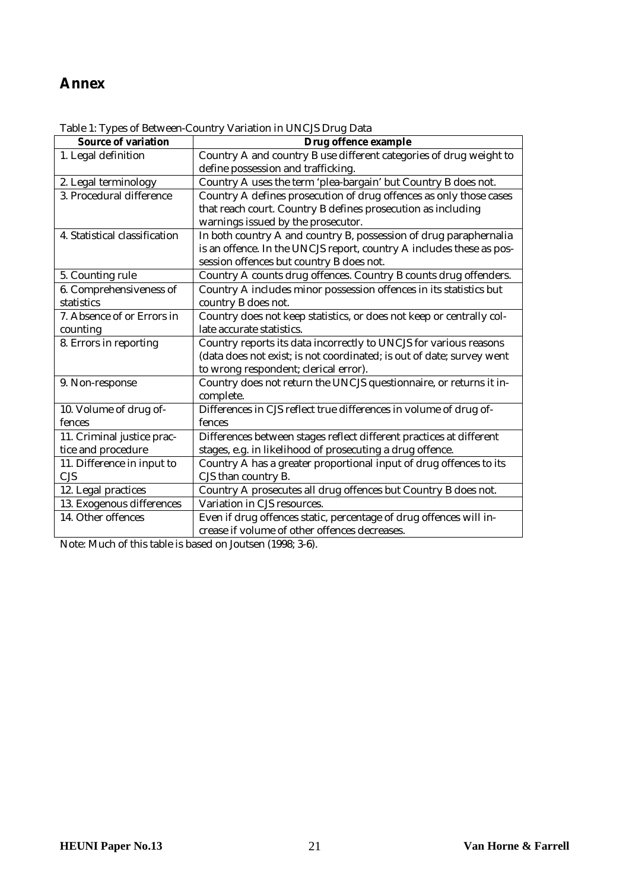# <span id="page-20-0"></span>**Annex**

| <b>Source of variation</b>    | Drug offence example                                                  |
|-------------------------------|-----------------------------------------------------------------------|
| 1. Legal definition           | Country A and country B use different categories of drug weight to    |
|                               | define possession and trafficking.                                    |
| 2. Legal terminology          | Country A uses the term 'plea-bargain' but Country B does not.        |
| 3. Procedural difference      | Country A defines prosecution of drug offences as only those cases    |
|                               | that reach court. Country B defines prosecution as including          |
|                               | warnings issued by the prosecutor.                                    |
| 4. Statistical classification | In both country A and country B, possession of drug paraphernalia     |
|                               | is an offence. In the UNCJS report, country A includes these as pos-  |
|                               | session offences but country B does not.                              |
| 5. Counting rule              | Country A counts drug offences. Country B counts drug offenders.      |
| 6. Comprehensiveness of       | Country A includes minor possession offences in its statistics but    |
| statistics                    | country B does not.                                                   |
| 7. Absence of or Errors in    | Country does not keep statistics, or does not keep or centrally col-  |
| counting                      | late accurate statistics.                                             |
| 8. Errors in reporting        | Country reports its data incorrectly to UNCJS for various reasons     |
|                               | (data does not exist; is not coordinated; is out of date; survey went |
|                               | to wrong respondent; clerical error).                                 |
| 9. Non-response               | Country does not return the UNCJS questionnaire, or returns it in-    |
|                               | complete.                                                             |
| 10. Volume of drug of-        | Differences in CJS reflect true differences in volume of drug of-     |
| fences                        | fences                                                                |
| 11. Criminal justice prac-    | Differences between stages reflect different practices at different   |
| tice and procedure            | stages, e.g. in likelihood of prosecuting a drug offence.             |
| 11. Difference in input to    | Country A has a greater proportional input of drug offences to its    |
| <b>CJS</b>                    | CJS than country B.                                                   |
| 12. Legal practices           | Country A prosecutes all drug offences but Country B does not.        |
| 13. Exogenous differences     | Variation in CJS resources.                                           |
| 14. Other offences            | Even if drug offences static, percentage of drug offences will in-    |
|                               | crease if volume of other offences decreases.                         |

Table 1: Types of Between-Country Variation in UNCJS Drug Data

Note: Much of this table is based on Joutsen (1998; 3-6).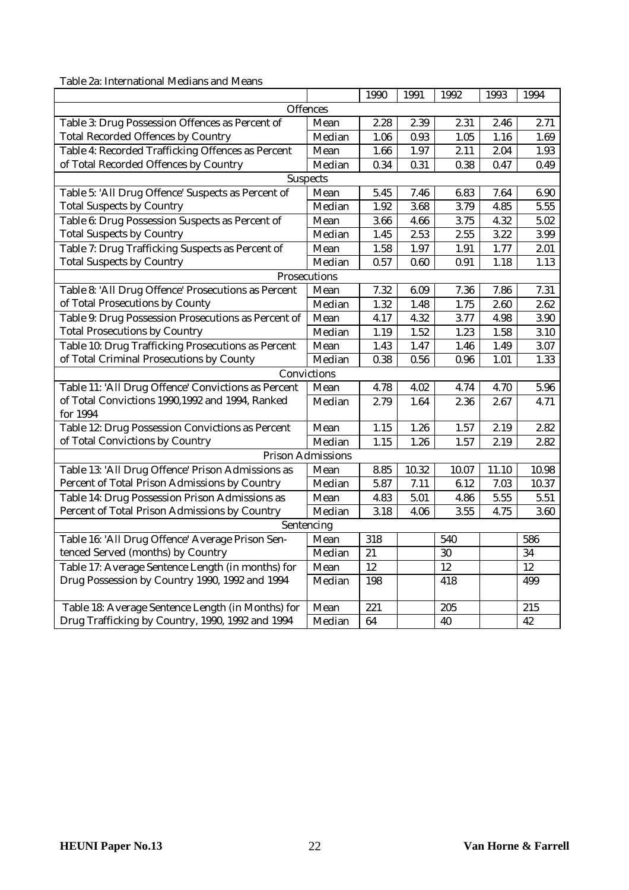Table 2a: International Medians and Means

|                                                     |                          | 1990 | 1991  | 1992  | 1993  | 1994  |
|-----------------------------------------------------|--------------------------|------|-------|-------|-------|-------|
|                                                     | Offences                 |      |       |       |       |       |
| Table 3: Drug Possession Offences as Percent of     | Mean                     | 2.28 | 2.39  | 2.31  | 2.46  | 2.71  |
| <b>Total Recorded Offences by Country</b>           | Median                   | 1.06 | 0.93  | 1.05  | 1.16  | 1.69  |
| Table 4: Recorded Trafficking Offences as Percent   | Mean                     | 1.66 | 1.97  | 2.11  | 2.04  | 1.93  |
| of Total Recorded Offences by Country               | Median                   | 0.34 | 0.31  | 0.38  | 0.47  | 0.49  |
|                                                     | <b>Suspects</b>          |      |       |       |       |       |
| Table 5: 'All Drug Offence' Suspects as Percent of  | Mean                     | 5.45 | 7.46  | 6.83  | 7.64  | 6.90  |
| <b>Total Suspects by Country</b>                    | Median                   | 1.92 | 3.68  | 3.79  | 4.85  | 5.55  |
| Table 6: Drug Possession Suspects as Percent of     | Mean                     | 3.66 | 4.66  | 3.75  | 4.32  | 5.02  |
| <b>Total Suspects by Country</b>                    | Median                   | 1.45 | 2.53  | 2.55  | 3.22  | 3.99  |
| Table 7: Drug Trafficking Suspects as Percent of    | Mean                     | 1.58 | 1.97  | 1.91  | 1.77  | 2.01  |
| <b>Total Suspects by Country</b>                    | Median                   | 0.57 | 0.60  | 0.91  | 1.18  | 1.13  |
|                                                     | Prosecutions             |      |       |       |       |       |
| Table 8: 'All Drug Offence' Prosecutions as Percent | Mean                     | 7.32 | 6.09  | 7.36  | 7.86  | 7.31  |
| of Total Prosecutions by County                     | Median                   | 1.32 | 1.48  | 1.75  | 2.60  | 2.62  |
| Table 9: Drug Possession Prosecutions as Percent of | Mean                     | 4.17 | 4.32  | 3.77  | 4.98  | 3.90  |
| <b>Total Prosecutions by Country</b>                | Median                   | 1.19 | 1.52  | 1.23  | 1.58  | 3.10  |
| Table 10: Drug Trafficking Prosecutions as Percent  | Mean                     | 1.43 | 1.47  | 1.46  | 1.49  | 3.07  |
| of Total Criminal Prosecutions by County            | Median                   | 0.38 | 0.56  | 0.96  | 1.01  | 1.33  |
|                                                     | Convictions              |      |       |       |       |       |
| Table 11: 'All Drug Offence' Convictions as Percent | Mean                     | 4.78 | 4.02  | 4.74  | 4.70  | 5.96  |
| of Total Convictions 1990,1992 and 1994, Ranked     | Median                   | 2.79 | 1.64  | 2.36  | 2.67  | 4.71  |
| for 1994                                            |                          |      |       |       |       |       |
| Table 12: Drug Possession Convictions as Percent    | Mean                     | 1.15 | 1.26  | 1.57  | 2.19  | 2.82  |
| of Total Convictions by Country                     | Median                   | 1.15 | 1.26  | 1.57  | 2.19  | 2.82  |
|                                                     | <b>Prison Admissions</b> |      |       |       |       |       |
| Table 13: 'All Drug Offence' Prison Admissions as   | Mean                     | 8.85 | 10.32 | 10.07 | 11.10 | 10.98 |
| Percent of Total Prison Admissions by Country       | Median                   | 5.87 | 7.11  | 6.12  | 7.03  | 10.37 |
| Table 14: Drug Possession Prison Admissions as      | Mean                     | 4.83 | 5.01  | 4.86  | 5.55  | 5.51  |
| Percent of Total Prison Admissions by Country       | Median                   | 3.18 | 4.06  | 3.55  | 4.75  | 3.60  |
|                                                     | Sentencing               |      |       |       |       |       |
| Table 16: 'All Drug Offence' Average Prison Sen-    | Mean                     | 318  |       | 540   |       | 586   |
| tenced Served (months) by Country                   | Median                   | 21   |       | 30    |       | 34    |
| Table 17: Average Sentence Length (in months) for   | Mean                     | 12   |       | 12    |       | 12    |
| Drug Possession by Country 1990, 1992 and 1994      | Median                   | 198  |       | 418   |       | 499   |
|                                                     |                          |      |       |       |       |       |
| Table 18: Average Sentence Length (in Months) for   | Mean                     | 221  |       | 205   |       | 215   |
| Drug Trafficking by Country, 1990, 1992 and 1994    | Median                   | 64   |       | 40    |       | 42    |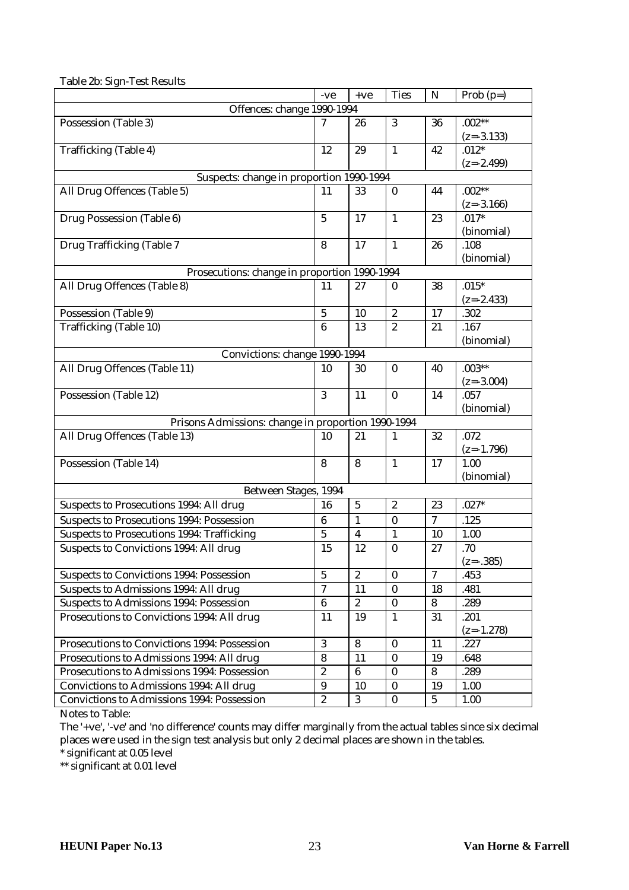|                                                                             | -ve              | $+ve$            | <b>Ties</b>      | $\mathbf N$      | Prob $(p=)$  |  |  |  |
|-----------------------------------------------------------------------------|------------------|------------------|------------------|------------------|--------------|--|--|--|
| Offences: change 1990-1994                                                  |                  |                  |                  |                  |              |  |  |  |
| Possession (Table 3)                                                        | 7                | 26               | 3                | 36               | $.002**$     |  |  |  |
|                                                                             |                  |                  |                  |                  | $(z=-3.133)$ |  |  |  |
| Trafficking (Table 4)                                                       | 12               | 29               | $\mathbf{1}$     | 42               | $.012*$      |  |  |  |
|                                                                             |                  |                  |                  |                  | $(z=-2.499)$ |  |  |  |
| Suspects: change in proportion 1990-1994                                    |                  |                  |                  |                  |              |  |  |  |
| All Drug Offences (Table 5)                                                 | 11               | 33               | $\bf{0}$         | 44               | $.002**$     |  |  |  |
|                                                                             |                  |                  |                  |                  | $(z=-3.166)$ |  |  |  |
| Drug Possession (Table 6)                                                   | $\overline{5}$   | 17               | $\mathbf{1}$     | 23               | $.017*$      |  |  |  |
|                                                                             |                  |                  |                  |                  | (binomial)   |  |  |  |
| Drug Trafficking (Table 7                                                   | 8                | 17               | $\mathbf{1}$     | 26               | .108         |  |  |  |
|                                                                             |                  |                  |                  |                  | (binomial)   |  |  |  |
| Prosecutions: change in proportion 1990-1994<br>All Drug Offences (Table 8) | 11               | 27               | $\boldsymbol{0}$ | 38               | $.015*$      |  |  |  |
|                                                                             |                  |                  |                  |                  | $(z=-2.433)$ |  |  |  |
| Possession (Table 9)                                                        | $\overline{5}$   | 10               | $\boldsymbol{2}$ | 17               | .302         |  |  |  |
| Trafficking (Table 10)                                                      | $\boldsymbol{6}$ | 13               | $\overline{c}$   | 21               | .167         |  |  |  |
|                                                                             |                  |                  |                  |                  | (binomial)   |  |  |  |
| Convictions: change 1990-1994                                               |                  |                  |                  |                  |              |  |  |  |
| All Drug Offences (Table 11)                                                | 10               | 30               | $\bf{0}$         | 40               | $.003**$     |  |  |  |
|                                                                             |                  |                  |                  |                  | $(z=-3.004)$ |  |  |  |
| Possession (Table 12)                                                       | 3                | 11               | $\bf{0}$         | 14               | .057         |  |  |  |
|                                                                             |                  |                  |                  |                  | (binomial)   |  |  |  |
| Prisons Admissions: change in proportion 1990-1994                          |                  |                  |                  |                  |              |  |  |  |
| All Drug Offences (Table 13)                                                | 10               | 21               | 1                | 32               | .072         |  |  |  |
|                                                                             |                  |                  |                  |                  | $(z=-1.796)$ |  |  |  |
| Possession (Table 14)                                                       | 8                | 8                | $\mathbf{1}$     | 17               | 1.00         |  |  |  |
|                                                                             |                  |                  |                  |                  | (binomial)   |  |  |  |
| Between Stages, 1994                                                        |                  |                  |                  |                  |              |  |  |  |
| Suspects to Prosecutions 1994: All drug                                     | 16               | $5\phantom{.0}$  | $\sqrt{2}$       | 23               | $.027*$      |  |  |  |
| <b>Suspects to Prosecutions 1994: Possession</b>                            | $\boldsymbol{6}$ | 1                | $\bf{0}$         | 7                | .125         |  |  |  |
| <b>Suspects to Prosecutions 1994: Trafficking</b>                           | $\overline{5}$   | $\boldsymbol{4}$ | $\mathbf{1}$     | 10               | 1.00         |  |  |  |
| Suspects to Convictions 1994: All drug                                      | 15               | 12               | $\bf{0}$         | 27               | .70          |  |  |  |
|                                                                             |                  |                  |                  |                  | $(z=-.385)$  |  |  |  |
| Suspects to Convictions 1994: Possession                                    | $\sqrt{5}$       | $\boldsymbol{2}$ | $\bf{0}$         | $\boldsymbol{7}$ | .453         |  |  |  |
| Suspects to Admissions 1994: All drug                                       | $\overline{7}$   | 11               | $\bf{0}$         | 18               | .481         |  |  |  |
| <b>Suspects to Admissions 1994: Possession</b>                              | $\bf 6$          | $\overline{c}$   | $\pmb{0}$        | 8                | .289         |  |  |  |
| Prosecutions to Convictions 1994: All drug                                  | 11               | 19               | $\mathbf{1}$     | 31               | .201         |  |  |  |
|                                                                             |                  |                  |                  |                  | $(z=-1.278)$ |  |  |  |
| Prosecutions to Convictions 1994: Possession                                | $\mathbf{3}$     | 8                | $\bf{0}$         | 11               | .227         |  |  |  |
| Prosecutions to Admissions 1994: All drug                                   | $\bf 8$          | 11               | $\bf{0}$         | 19               | .648         |  |  |  |
| Prosecutions to Admissions 1994: Possession                                 | $\sqrt{2}$       | $6\phantom{.}$   | $\bf{0}$         | 8                | .289         |  |  |  |
| Convictions to Admissions 1994: All drug                                    | $\boldsymbol{9}$ | 10               | $\bf{0}$         | 19               | 1.00         |  |  |  |
| Convictions to Admissions 1994: Possession                                  | $\sqrt{2}$       | 3                | $\pmb{0}$        | $5\phantom{.0}$  | 1.00         |  |  |  |

Table 2b: Sign-Test Results

Notes to Table:

The '+ve', '-ve' and 'no difference' counts may differ marginally from the actual tables since six decimal places were used in the sign test analysis but only 2 decimal places are shown in the tables.

\* significant at 0.05 level

\*\* significant at 0.01 level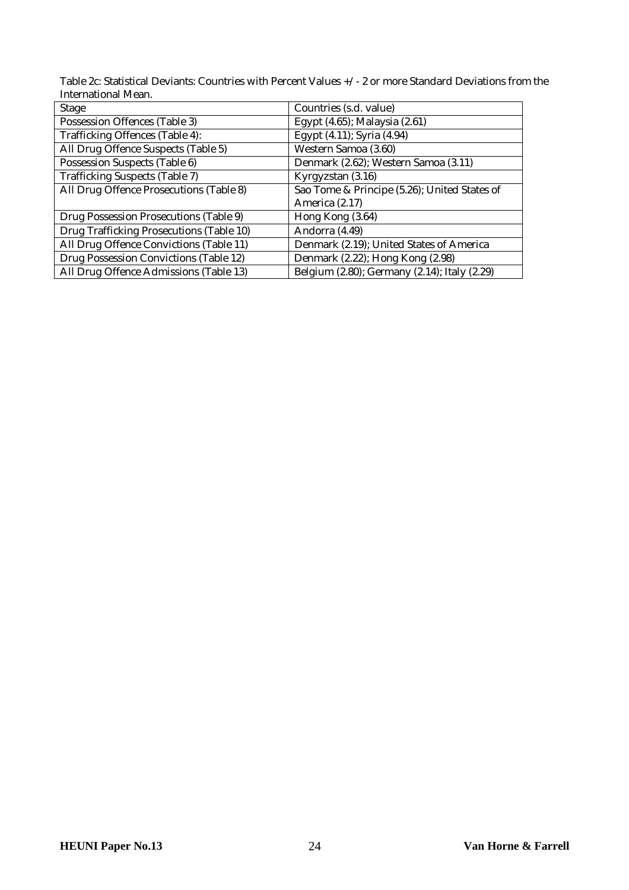Table 2c: Statistical Deviants: Countries with Percent Values +/- 2 or more Standard Deviations from the International Mean.

| <b>Stage</b>                             | Countries (s.d. value)                       |
|------------------------------------------|----------------------------------------------|
| Possession Offences (Table 3)            | Egypt (4.65); Malaysia (2.61)                |
| Trafficking Offences (Table 4):          | Egypt (4.11); Syria (4.94)                   |
| All Drug Offence Suspects (Table 5)      | Western Samoa (3.60)                         |
| Possession Suspects (Table 6)            | Denmark (2.62); Western Samoa (3.11)         |
| <b>Trafficking Suspects (Table 7)</b>    | Kyrgyzstan (3.16)                            |
| All Drug Offence Prosecutions (Table 8)  | Sao Tome & Principe (5.26); United States of |
|                                          | America (2.17)                               |
| Drug Possession Prosecutions (Table 9)   | Hong Kong (3.64)                             |
| Drug Trafficking Prosecutions (Table 10) | Andorra (4.49)                               |
| All Drug Offence Convictions (Table 11)  | Denmark (2.19); United States of America     |
| Drug Possession Convictions (Table 12)   | Denmark (2.22); Hong Kong (2.98)             |
| All Drug Offence Admissions (Table 13)   | Belgium (2.80); Germany (2.14); Italy (2.29) |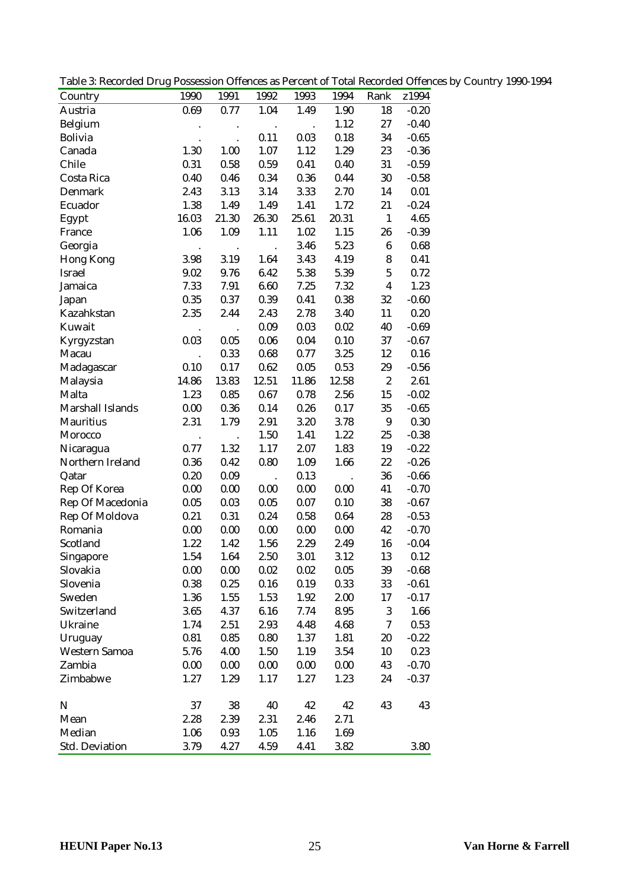| Table 3: Recorded Drug Possession Offences as Percent of Total Recorded Offences by Country 1990-1994 |  |  |  |  |
|-------------------------------------------------------------------------------------------------------|--|--|--|--|
|                                                                                                       |  |  |  |  |

| Country              | 1990      | 1991  | 1992                 | 1993     | 1994  | Rank                    | z1994   |
|----------------------|-----------|-------|----------------------|----------|-------|-------------------------|---------|
| Austria              | 0.69      | 0.77  | 1.04                 | 1.49     | 1.90  | 18                      | $-0.20$ |
| Belgium              |           |       | $\cdot$              | $\cdot$  | 1.12  | 27                      | $-0.40$ |
| <b>Bolivia</b>       |           |       | 0.11                 | 0.03     | 0.18  | 34                      | $-0.65$ |
| Canada               | 1.30      | 1.00  | 1.07                 | 1.12     | 1.29  | 23                      | $-0.36$ |
| Chile                | 0.31      | 0.58  | 0.59                 | 0.41     | 0.40  | 31                      | $-0.59$ |
| Costa Rica           | 0.40      | 0.46  | 0.34                 | 0.36     | 0.44  | 30                      | $-0.58$ |
| Denmark              | 2.43      | 3.13  | 3.14                 | 3.33     | 2.70  | 14                      | 0.01    |
| Ecuador              | 1.38      | 1.49  | 1.49                 | 1.41     | 1.72  | 21                      | $-0.24$ |
| Egypt                | 16.03     | 21.30 | 26.30                | 25.61    | 20.31 | $\mathbf{1}$            | 4.65    |
| France               | 1.06      | 1.09  | 1.11                 | 1.02     | 1.15  | 26                      | $-0.39$ |
| Georgia              |           |       |                      | 3.46     | 5.23  | $\bf 6$                 | 0.68    |
| <b>Hong Kong</b>     | 3.98      | 3.19  | 1.64                 | 3.43     | 4.19  | 8                       | 0.41    |
| <b>Israel</b>        | 9.02      | 9.76  | 6.42                 | 5.38     | 5.39  | $\bf 5$                 | 0.72    |
| Jamaica              | 7.33      | 7.91  | 6.60                 | 7.25     | 7.32  | $\overline{\mathbf{4}}$ | 1.23    |
| Japan                | 0.35      | 0.37  | 0.39                 | 0.41     | 0.38  | 32                      | $-0.60$ |
| Kazahkstan           | 2.35      | 2.44  | 2.43                 | 2.78     | 3.40  | 11                      | 0.20    |
| Kuwait               | $\bullet$ |       | 0.09                 | 0.03     | 0.02  | 40                      | $-0.69$ |
| Kyrgyzstan           | 0.03      | 0.05  | 0.06                 | 0.04     | 0.10  | 37                      | $-0.67$ |
| Macau                |           | 0.33  | 0.68                 | 0.77     | 3.25  | 12                      | 0.16    |
| Madagascar           | 0.10      | 0.17  | 0.62                 | 0.05     | 0.53  | 29                      | $-0.56$ |
| Malaysia             | 14.86     | 13.83 | 12.51                | 11.86    | 12.58 | $\sqrt{2}$              | 2.61    |
| Malta                | 1.23      | 0.85  | 0.67                 | 0.78     | 2.56  | 15                      | $-0.02$ |
| Marshall Islands     | 0.00      | 0.36  | 0.14                 | 0.26     | 0.17  | 35                      | $-0.65$ |
| <b>Mauritius</b>     | 2.31      | 1.79  | 2.91                 | 3.20     | 3.78  | $9\,$                   | 0.30    |
| Morocco              |           |       | 1.50                 | 1.41     | 1.22  | 25                      | $-0.38$ |
| Nicaragua            | 0.77      | 1.32  | 1.17                 | 2.07     | 1.83  | 19                      | $-0.22$ |
| Northern Ireland     | 0.36      | 0.42  | 0.80                 | 1.09     | 1.66  | 22                      | $-0.26$ |
| Qatar                | 0.20      | 0.09  | $\ddot{\phantom{0}}$ | 0.13     |       | 36                      | $-0.66$ |
| Rep Of Korea         | 0.00      | 0.00  | 0.00                 | 0.00     | 0.00  | 41                      | $-0.70$ |
| Rep Of Macedonia     | 0.05      | 0.03  | 0.05                 | 0.07     | 0.10  | 38                      | $-0.67$ |
| Rep Of Moldova       | 0.21      | 0.31  | 0.24                 | $0.58\,$ | 0.64  | 28                      | $-0.53$ |
| Romania              | 0.00      | 0.00  | 0.00                 | 0.00     | 0.00  | 42                      | $-0.70$ |
| Scotland             | 1.22      | 1.42  | 1.56                 | 2.29     | 2.49  | 16                      | $-0.04$ |
| Singapore            | 1.54      | 1.64  | 2.50                 | 3.01     | 3.12  | 13                      | 0.12    |
| Slovakia             | 0.00      | 0.00  | 0.02                 | 0.02     | 0.05  | 39                      | $-0.68$ |
| Slovenia             | 0.38      | 0.25  | 0.16                 | 0.19     | 0.33  | 33                      | $-0.61$ |
| Sweden               | 1.36      | 1.55  | 1.53                 | 1.92     | 2.00  | 17                      | $-0.17$ |
| Switzerland          | 3.65      | 4.37  | 6.16                 | 7.74     | 8.95  | $\boldsymbol{3}$        | 1.66    |
| Ukraine              | 1.74      | 2.51  | 2.93                 | 4.48     | 4.68  | 7                       | 0.53    |
| Uruguay              | 0.81      | 0.85  | 0.80                 | 1.37     | 1.81  | 20                      | $-0.22$ |
| <b>Western Samoa</b> | 5.76      | 4.00  | 1.50                 | 1.19     | 3.54  | 10                      | 0.23    |
| Zambia               | 0.00      | 0.00  | 0.00                 | 0.00     | 0.00  | 43                      | $-0.70$ |
| Zimbabwe             | 1.27      | 1.29  | 1.17                 | 1.27     | 1.23  | 24                      | $-0.37$ |
| $\mathbf N$          | 37        | 38    | 40                   | 42       | 42    | 43                      | 43      |
| Mean                 | 2.28      | 2.39  | 2.31                 | 2.46     | 2.71  |                         |         |
| Median               | 1.06      | 0.93  | 1.05                 | 1.16     | 1.69  |                         |         |
| Std. Deviation       | 3.79      | 4.27  | 4.59                 | 4.41     | 3.82  |                         | 3.80    |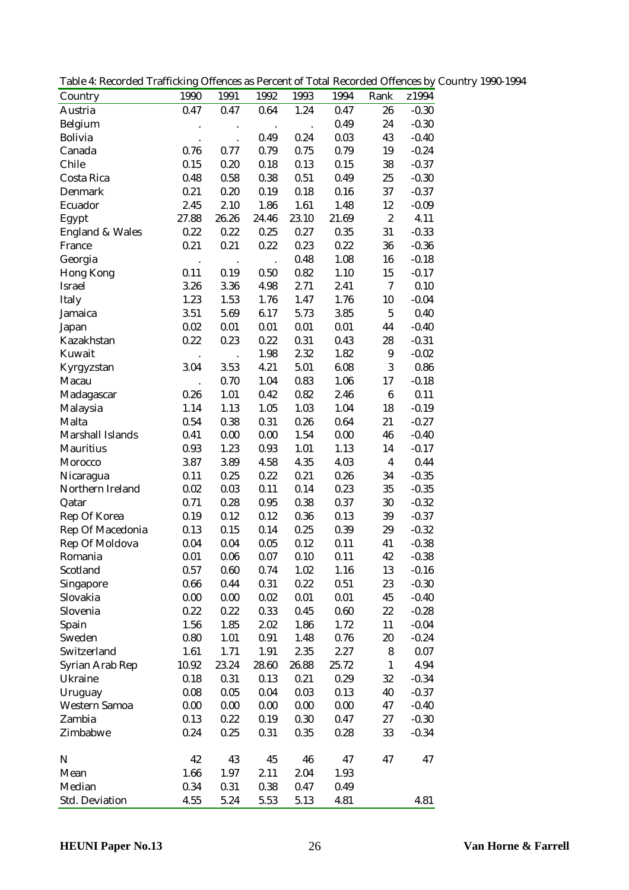Table 4: Recorded Trafficking Offences as Percent of Total Recorded Offences by Country 1990-1994

| Country                    | 1990                 | 1991      | 1992      | 1993                 | 1994  | Rank             | z1994   |
|----------------------------|----------------------|-----------|-----------|----------------------|-------|------------------|---------|
| Austria                    | 0.47                 | 0.47      | 0.64      | 1.24                 | 0.47  | 26               | $-0.30$ |
| Belgium                    |                      | $\bullet$ | $\bullet$ | $\ddot{\phantom{a}}$ | 0.49  | 24               | $-0.30$ |
| <b>Bolivia</b>             |                      |           | 0.49      | 0.24                 | 0.03  | 43               | $-0.40$ |
| Canada                     | 0.76                 | 0.77      | 0.79      | 0.75                 | 0.79  | 19               | $-0.24$ |
| Chile                      | 0.15                 | 0.20      | 0.18      | 0.13                 | 0.15  | 38               | $-0.37$ |
| Costa Rica                 | 0.48                 | 0.58      | 0.38      | 0.51                 | 0.49  | 25               | $-0.30$ |
| Denmark                    | 0.21                 | 0.20      | 0.19      | 0.18                 | 0.16  | 37               | $-0.37$ |
| Ecuador                    | 2.45                 | 2.10      | 1.86      | 1.61                 | 1.48  | 12               | $-0.09$ |
| Egypt                      | 27.88                | 26.26     | 24.46     | 23.10                | 21.69 | $\boldsymbol{2}$ | 4.11    |
| <b>England &amp; Wales</b> | 0.22                 | 0.22      | 0.25      | 0.27                 | 0.35  | 31               | $-0.33$ |
| France                     | 0.21                 | 0.21      | 0.22      | 0.23                 | 0.22  | 36               | $-0.36$ |
| Georgia                    |                      |           |           | 0.48                 | 1.08  | 16               | $-0.18$ |
| <b>Hong Kong</b>           | 0.11                 | 0.19      | 0.50      | $\,0.82\,$           | 1.10  | 15               | $-0.17$ |
| <b>Israel</b>              | 3.26                 | 3.36      | 4.98      | 2.71                 | 2.41  | $\rm 7$          | 0.10    |
| Italy                      | 1.23                 | 1.53      | 1.76      | 1.47                 | 1.76  | 10               | $-0.04$ |
| Jamaica                    | 3.51                 | 5.69      | 6.17      | 5.73                 | 3.85  | $\sqrt{5}$       | 0.40    |
| Japan                      | 0.02                 | 0.01      | 0.01      | 0.01                 | 0.01  | 44               | $-0.40$ |
| Kazakhstan                 | 0.22                 | 0.23      | 0.22      | 0.31                 | 0.43  | 28               | $-0.31$ |
| Kuwait                     | $\bullet$            |           | 1.98      | 2.32                 | 1.82  | $\boldsymbol{9}$ | $-0.02$ |
| Kyrgyzstan                 | 3.04                 | 3.53      | 4.21      | 5.01                 | 6.08  | 3                | 0.86    |
| Macau                      | $\ddot{\phantom{a}}$ | 0.70      | 1.04      | 0.83                 | 1.06  | 17               | $-0.18$ |
| Madagascar                 | 0.26                 | 1.01      | 0.42      | 0.82                 | 2.46  | $\bf 6$          | 0.11    |
| Malaysia                   | 1.14                 | 1.13      | 1.05      | 1.03                 | 1.04  | 18               | $-0.19$ |
| Malta                      | 0.54                 | 0.38      | 0.31      | 0.26                 | 0.64  | 21               | $-0.27$ |
| Marshall Islands           | 0.41                 | 0.00      | 0.00      | 1.54                 | 0.00  | 46               | $-0.40$ |
| <b>Mauritius</b>           | 0.93                 | 1.23      | 0.93      | 1.01                 | 1.13  | 14               | $-0.17$ |
| Morocco                    | 3.87                 | 3.89      | 4.58      | 4.35                 | 4.03  | $\boldsymbol{4}$ | 0.44    |
| Nicaragua                  | 0.11                 | 0.25      | 0.22      | 0.21                 | 0.26  | 34               | $-0.35$ |
| Northern Ireland           | 0.02                 | 0.03      | 0.11      | 0.14                 | 0.23  | 35               | $-0.35$ |
| Qatar                      | 0.71                 | 0.28      | 0.95      | 0.38                 | 0.37  | 30               | $-0.32$ |
| Rep Of Korea               | 0.19                 | 0.12      | 0.12      | 0.36                 | 0.13  | 39               | $-0.37$ |
| Rep Of Macedonia           | 0.13                 | 0.15      | 0.14      | 0.25                 | 0.39  | 29               | $-0.32$ |
| Rep Of Moldova             | 0.04                 | 0.04      | 0.05      | 0.12                 | 0.11  | 41               | $-0.38$ |
| Romania                    | 0.01                 | 0.06      | 0.07      | 0.10                 | 0.11  | 42               | $-0.38$ |
| Scotland                   | 0.57                 | 0.60      | 0.74      | 1.02                 | 1.16  | 13               | $-0.16$ |
|                            | 0.66                 | 0.44      | 0.31      | 0.22                 | 0.51  | 23               | $-0.30$ |
| Singapore<br>Slovakia      | 0.00                 | 0.00      | 0.02      | 0.01                 | 0.01  | 45               | $-0.40$ |
|                            |                      |           | 0.33      |                      |       |                  |         |
| Slovenia                   | 0.22                 | 0.22      |           | 0.45                 | 0.60  | 22               | $-0.28$ |
| Spain                      | 1.56                 | 1.85      | 2.02      | 1.86                 | 1.72  | 11               | $-0.04$ |
| Sweden<br>Switzerland      | 0.80                 | 1.01      | 0.91      | 1.48                 | 0.76  | 20               | $-0.24$ |
|                            | 1.61                 | 1.71      | 1.91      | 2.35                 | 2.27  | 8                | 0.07    |
| Syrian Arab Rep            | 10.92                | 23.24     | 28.60     | 26.88                | 25.72 | $1\,$            | 4.94    |
| Ukraine                    | 0.18                 | 0.31      | 0.13      | 0.21                 | 0.29  | 32               | $-0.34$ |
| Uruguay                    | 0.08                 | 0.05      | 0.04      | 0.03                 | 0.13  | 40               | $-0.37$ |
| Western Samoa              | 0.00                 | 0.00      | 0.00      | 0.00                 | 0.00  | 47               | $-0.40$ |
| Zambia                     | 0.13                 | 0.22      | 0.19      | 0.30                 | 0.47  | 27               | $-0.30$ |
| Zimbabwe                   | 0.24                 | 0.25      | 0.31      | 0.35                 | 0.28  | 33               | $-0.34$ |
| ${\bf N}$                  | 42                   | 43        | 45        | 46                   | 47    | 47               | 47      |
| Mean                       | 1.66                 | 1.97      | 2.11      | 2.04                 | 1.93  |                  |         |
| Median                     | 0.34                 | 0.31      | 0.38      | 0.47                 | 0.49  |                  |         |
| Std. Deviation             | 4.55                 | 5.24      | 5.53      | 5.13                 | 4.81  |                  | 4.81    |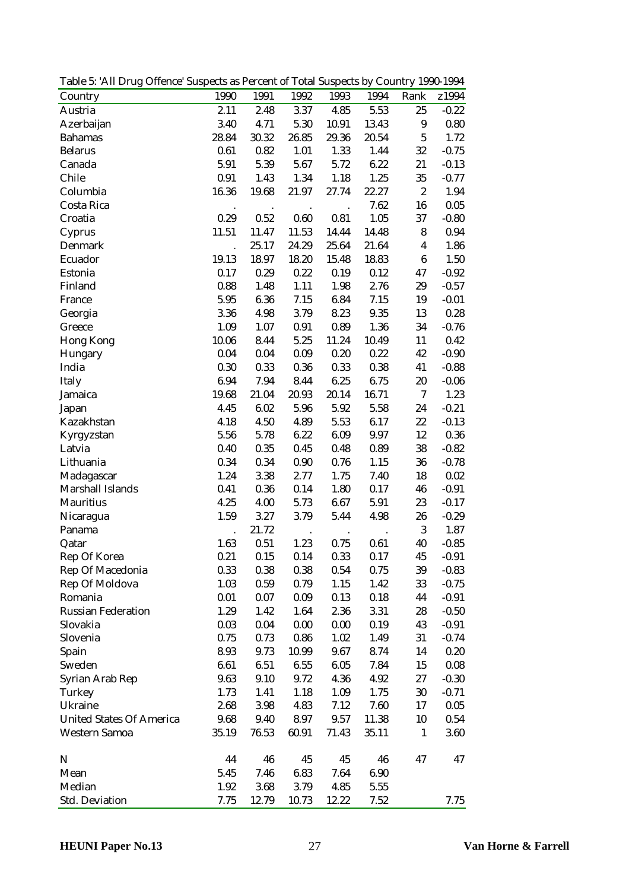Table 5: 'All Drug Offence' Suspects as Percent of Total Suspects by Country 1990-1994

| Country                         | 1990                 | 1991                 | 1992      | 1993    | 1994                 | Rank                    | z1994    |
|---------------------------------|----------------------|----------------------|-----------|---------|----------------------|-------------------------|----------|
| Austria                         | 2.11                 | 2.48                 | 3.37      | 4.85    | 5.53                 | 25                      | $-0.22$  |
| Azerbaijan                      | 3.40                 | 4.71                 | 5.30      | 10.91   | 13.43                | $\boldsymbol{9}$        | 0.80     |
| <b>Bahamas</b>                  | 28.84                | 30.32                | 26.85     | 29.36   | 20.54                | $\mathbf 5$             | 1.72     |
| <b>Belarus</b>                  | 0.61                 | 0.82                 | 1.01      | 1.33    | 1.44                 | 32                      | $-0.75$  |
| Canada                          | 5.91                 | 5.39                 | 5.67      | 5.72    | 6.22                 | 21                      | $-0.13$  |
| Chile                           | 0.91                 | 1.43                 | 1.34      | 1.18    | 1.25                 | 35                      | $-0.77$  |
| Columbia                        | 16.36                | 19.68                | 21.97     | 27.74   | 22.27                | $\boldsymbol{2}$        | 1.94     |
| Costa Rica                      |                      | $\ddot{\phantom{a}}$ | $\cdot$   |         | 7.62                 | 16                      | 0.05     |
| Croatia                         | 0.29                 | 0.52                 | 0.60      | 0.81    | 1.05                 | 37                      | $-0.80$  |
| Cyprus                          | 11.51                | 11.47                | 11.53     | 14.44   | 14.48                | 8                       | 0.94     |
| Denmark                         | $\ddot{\phantom{0}}$ | 25.17                | 24.29     | 25.64   | 21.64                | $\overline{\mathbf{4}}$ | 1.86     |
| Ecuador                         | 19.13                | 18.97                | 18.20     | 15.48   | 18.83                | $\bf 6$                 | 1.50     |
| Estonia                         | 0.17                 | 0.29                 | 0.22      | 0.19    | 0.12                 | 47                      | $-0.92$  |
| Finland                         | 0.88                 | 1.48                 | 1.11      | 1.98    | 2.76                 | 29                      | $-0.57$  |
| France                          | 5.95                 | 6.36                 | 7.15      | 6.84    | 7.15                 | 19                      | $-0.01$  |
| Georgia                         | 3.36                 | 4.98                 | 3.79      | 8.23    | 9.35                 | 13                      | 0.28     |
| Greece                          | 1.09                 | 1.07                 | 0.91      | 0.89    | 1.36                 | 34                      | $-0.76$  |
| <b>Hong Kong</b>                | 10.06                | 8.44                 | 5.25      | 11.24   | 10.49                | 11                      | 0.42     |
| Hungary                         | 0.04                 | 0.04                 | 0.09      | 0.20    | 0.22                 | 42                      | $-0.90$  |
| India                           | 0.30                 | 0.33                 | 0.36      | 0.33    | 0.38                 | 41                      | $-0.88$  |
| Italy                           | 6.94                 | 7.94                 | 8.44      | 6.25    | 6.75                 | 20                      | $-0.06$  |
| Jamaica                         | 19.68                | 21.04                | 20.93     | 20.14   | 16.71                | $\rm 7$                 | 1.23     |
| Japan                           | 4.45                 | 6.02                 | 5.96      | 5.92    | 5.58                 | 24                      | $-0.21$  |
| Kazakhstan                      | 4.18                 | 4.50                 | 4.89      | 5.53    | 6.17                 | 22                      | $-0.13$  |
| Kyrgyzstan                      | 5.56                 | 5.78                 | 6.22      | 6.09    | 9.97                 | 12                      | 0.36     |
| Latvia                          | 0.40                 | 0.35                 | 0.45      | 0.48    | 0.89                 | 38                      | $-0.82$  |
| Lithuania                       | 0.34                 | 0.34                 | 0.90      | 0.76    | 1.15                 | 36                      | $-0.78$  |
| Madagascar                      | 1.24                 | 3.38                 | 2.77      | 1.75    | 7.40                 | 18                      | $0.02\,$ |
| Marshall Islands                | 0.41                 | 0.36                 | 0.14      | 1.80    | 0.17                 | 46                      | $-0.91$  |
| Mauritius                       | 4.25                 | 4.00                 | 5.73      | 6.67    | 5.91                 | 23                      | $-0.17$  |
| Nicaragua                       | 1.59                 | 3.27                 | 3.79      | 5.44    | 4.98                 | 26                      | $-0.29$  |
| Panama                          |                      | 21.72                | $\bullet$ | $\cdot$ | $\ddot{\phantom{a}}$ | $\sqrt{3}$              | 1.87     |
| Qatar                           | 1.63                 | 0.51                 | 1.23      | 0.75    | 0.61                 | 40                      | $-0.85$  |
| Rep Of Korea                    | 0.21                 | 0.15                 | 0.14      | 0.33    | 0.17                 | 45                      | $-0.91$  |
| Rep Of Macedonia                | 0.33                 | 0.38                 | 0.38      | 0.54    | 0.75                 | 39                      | $-0.83$  |
| Rep Of Moldova                  | 1.03                 | 0.59                 | 0.79      | 1.15    | 1.42                 | 33                      | $-0.75$  |
| Romania                         | 0.01                 | 0.07                 | 0.09      | 0.13    | 0.18                 | 44                      | $-0.91$  |
| <b>Russian Federation</b>       | 1.29                 | 1.42                 | 1.64      | 2.36    | 3.31                 | 28                      | $-0.50$  |
| Slovakia                        | 0.03                 | 0.04                 | 0.00      | 0.00    | 0.19                 | 43                      | $-0.91$  |
| Slovenia                        | 0.75                 | 0.73                 | 0.86      | 1.02    | 1.49                 | 31                      | $-0.74$  |
| Spain                           | 8.93                 | 9.73                 | 10.99     | 9.67    | 8.74                 | 14                      | 0.20     |
| Sweden                          | 6.61                 | 6.51                 | 6.55      | 6.05    | 7.84                 | 15                      | 0.08     |
| Syrian Arab Rep                 | 9.63                 | 9.10                 | 9.72      | 4.36    | 4.92                 | 27                      | $-0.30$  |
| Turkey                          | 1.73                 | 1.41                 | 1.18      | 1.09    | 1.75                 | 30                      | $-0.71$  |
| Ukraine                         | 2.68                 | 3.98                 | 4.83      | 7.12    | 7.60                 | 17                      | 0.05     |
| <b>United States Of America</b> | 9.68                 | 9.40                 | 8.97      | 9.57    | 11.38                | 10                      | 0.54     |
| Western Samoa                   | 35.19                | 76.53                | 60.91     | 71.43   | 35.11                | $\mathbf{1}$            | 3.60     |
| $\mathbf N$                     | 44                   | 46                   | 45        | 45      | 46                   | 47                      | 47       |
| Mean                            | 5.45                 | 7.46                 | 6.83      | 7.64    | 6.90                 |                         |          |
| Median                          | 1.92                 | 3.68                 | 3.79      | 4.85    | 5.55                 |                         |          |
| Std. Deviation                  | 7.75                 | 12.79                | 10.73     | 12.22   | 7.52                 |                         | 7.75     |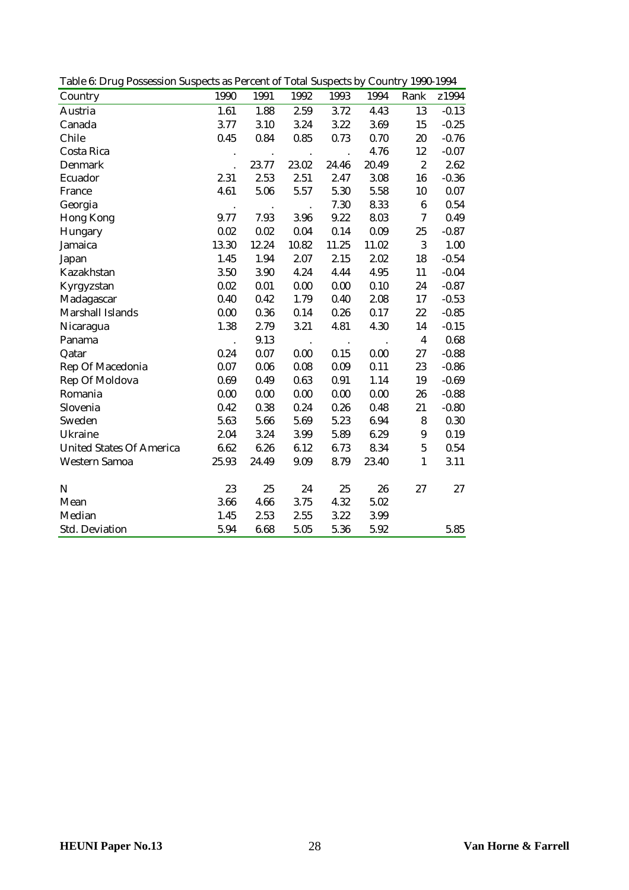Table 6: Drug Possession Suspects as Percent of Total Suspects by Country 1990-1994

| Country                         | 1990      | 1991      | 1992      | 1993      | 1994   | Rank                    | z1994   |
|---------------------------------|-----------|-----------|-----------|-----------|--------|-------------------------|---------|
| Austria                         | 1.61      | 1.88      | 2.59      | 3.72      | 4.43   | 13                      | $-0.13$ |
| Canada                          | 3.77      | 3.10      | 3.24      | 3.22      | 3.69   | 15                      | $-0.25$ |
| Chile                           | 0.45      | 0.84      | 0.85      | 0.73      | 0.70   | 20                      | $-0.76$ |
| Costa Rica                      |           |           |           |           | 4.76   | 12                      | $-0.07$ |
| Denmark                         |           | 23.77     | 23.02     | 24.46     | 20.49  | $\boldsymbol{2}$        | 2.62    |
| Ecuador                         | 2.31      | 2.53      | 2.51      | 2.47      | 3.08   | 16                      | $-0.36$ |
| France                          | 4.61      | 5.06      | 5.57      | 5.30      | 5.58   | 10                      | 0.07    |
| Georgia                         | $\bullet$ | $\bullet$ |           | 7.30      | 8.33   | $\boldsymbol{6}$        | 0.54    |
| <b>Hong Kong</b>                | 9.77      | 7.93      | 3.96      | 9.22      | 8.03   | 7                       | 0.49    |
| Hungary                         | 0.02      | 0.02      | 0.04      | 0.14      | 0.09   | 25                      | $-0.87$ |
| Jamaica                         | 13.30     | 12.24     | 10.82     | 11.25     | 11.02  | 3                       | 1.00    |
| Japan                           | 1.45      | 1.94      | 2.07      | 2.15      | 2.02   | 18                      | $-0.54$ |
| Kazakhstan                      | 3.50      | 3.90      | 4.24      | 4.44      | 4.95   | 11                      | $-0.04$ |
| Kyrgyzstan                      | 0.02      | 0.01      | 0.00      | 0.00      | 0.10   | 24                      | $-0.87$ |
| Madagascar                      | 0.40      | 0.42      | 1.79      | 0.40      | 2.08   | 17                      | $-0.53$ |
| Marshall Islands                | 0.00      | 0.36      | 0.14      | 0.26      | 0.17   | 22                      | $-0.85$ |
| Nicaragua                       | 1.38      | 2.79      | 3.21      | 4.81      | 4.30   | 14                      | $-0.15$ |
| Panama                          |           | 9.13      | $\bullet$ | $\bullet$ | $\,$ . | $\overline{\mathbf{4}}$ | 0.68    |
| Qatar                           | 0.24      | 0.07      | 0.00      | 0.15      | 0.00   | 27                      | $-0.88$ |
| Rep Of Macedonia                | 0.07      | 0.06      | 0.08      | 0.09      | 0.11   | 23                      | $-0.86$ |
| Rep Of Moldova                  | 0.69      | 0.49      | 0.63      | 0.91      | 1.14   | 19                      | $-0.69$ |
| Romania                         | 0.00      | 0.00      | 0.00      | 0.00      | 0.00   | 26                      | $-0.88$ |
| Slovenia                        | 0.42      | 0.38      | 0.24      | 0.26      | 0.48   | 21                      | $-0.80$ |
| Sweden                          | 5.63      | 5.66      | 5.69      | 5.23      | 6.94   | 8                       | 0.30    |
| Ukraine                         | 2.04      | 3.24      | 3.99      | 5.89      | 6.29   | $\boldsymbol{9}$        | 0.19    |
| <b>United States Of America</b> | 6.62      | 6.26      | 6.12      | 6.73      | 8.34   | $\overline{5}$          | 0.54    |
| <b>Western Samoa</b>            | 25.93     | 24.49     | 9.09      | 8.79      | 23.40  | $\mathbf{1}$            | 3.11    |
|                                 |           |           |           |           |        |                         |         |
| N                               | 23        | 25        | 24        | 25        | 26     | 27                      | 27      |
| Mean                            | 3.66      | 4.66      | 3.75      | 4.32      | 5.02   |                         |         |
| Median                          | 1.45      | 2.53      | 2.55      | 3.22      | 3.99   |                         |         |
| <b>Std. Deviation</b>           | 5.94      | 6.68      | 5.05      | 5.36      | 5.92   |                         | 5.85    |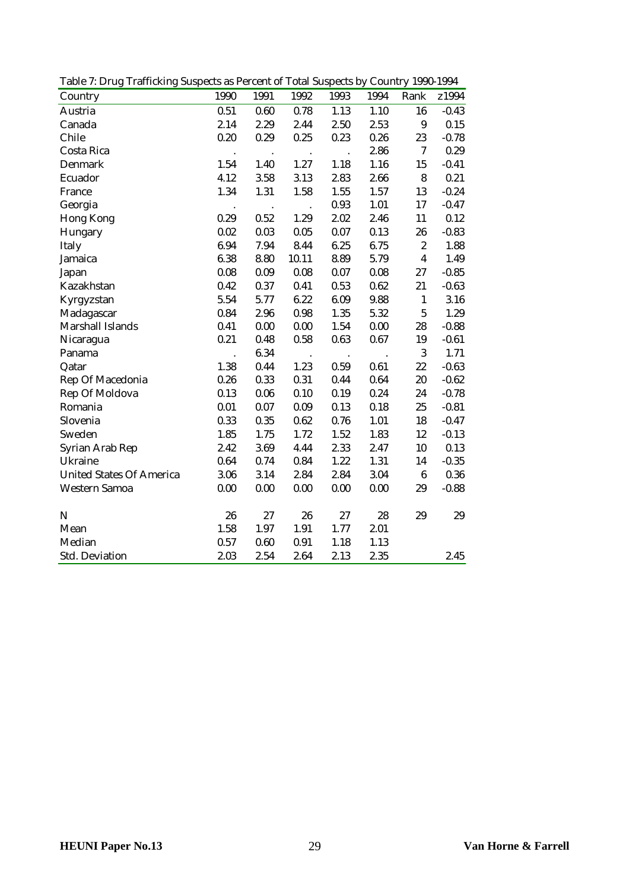Table 7: Drug Trafficking Suspects as Percent of Total Suspects by Country 1990-1994

| Country                         | 1990                 | 1991      | 1992      | 1993      | 1994             | Rank             | z1994   |
|---------------------------------|----------------------|-----------|-----------|-----------|------------------|------------------|---------|
| Austria                         | 0.51                 | 0.60      | 0.78      | 1.13      | 1.10             | 16               | $-0.43$ |
| Canada                          | 2.14                 | 2.29      | 2.44      | 2.50      | 2.53             | $\boldsymbol{9}$ | 0.15    |
| Chile                           | 0.20                 | 0.29      | 0.25      | 0.23      | 0.26             | 23               | $-0.78$ |
| Costa Rica                      | $\cdot$              | $\bullet$ | $\bullet$ | $\cdot$   | 2.86             | $\tau$           | 0.29    |
| Denmark                         | 1.54                 | 1.40      | 1.27      | 1.18      | 1.16             | 15               | $-0.41$ |
| Ecuador                         | 4.12                 | 3.58      | 3.13      | 2.83      | 2.66             | $\bf 8$          | 0.21    |
| France                          | 1.34                 | 1.31      | 1.58      | 1.55      | 1.57             | 13               | $-0.24$ |
| Georgia                         |                      |           |           | 0.93      | 1.01             | 17               | $-0.47$ |
| <b>Hong Kong</b>                | 0.29                 | 0.52      | 1.29      | 2.02      | 2.46             | 11               | 0.12    |
| Hungary                         | 0.02                 | 0.03      | 0.05      | 0.07      | 0.13             | 26               | $-0.83$ |
| Italy                           | 6.94                 | 7.94      | 8.44      | 6.25      | 6.75             | $\boldsymbol{2}$ | 1.88    |
| Jamaica                         | 6.38                 | 8.80      | 10.11     | 8.89      | 5.79             | $\boldsymbol{4}$ | 1.49    |
| Japan                           | 0.08                 | 0.09      | 0.08      | $0.07\,$  | 0.08             | 27               | $-0.85$ |
| Kazakhstan                      | 0.42                 | 0.37      | 0.41      | 0.53      | 0.62             | 21               | $-0.63$ |
| Kyrgyzstan                      | 5.54                 | 5.77      | 6.22      | 6.09      | 9.88             | $\mathbf{1}$     | 3.16    |
| Madagascar                      | 0.84                 | 2.96      | 0.98      | 1.35      | 5.32             | $\overline{5}$   | 1.29    |
| Marshall Islands                | 0.41                 | 0.00      | 0.00      | 1.54      | 0.00             | 28               | $-0.88$ |
| Nicaragua                       | 0.21                 | 0.48      | 0.58      | 0.63      | $0.67\,$         | 19               | $-0.61$ |
| Panama                          | $\ddot{\phantom{0}}$ | 6.34      | $\,$ .    | $\bullet$ | $\blacksquare$ . | $\mathbf 3$      | 1.71    |
| Qatar                           | 1.38                 | 0.44      | 1.23      | 0.59      | 0.61             | 22               | $-0.63$ |
| Rep Of Macedonia                | 0.26                 | 0.33      | 0.31      | 0.44      | 0.64             | 20               | $-0.62$ |
| Rep Of Moldova                  | 0.13                 | 0.06      | 0.10      | 0.19      | 0.24             | 24               | $-0.78$ |
| Romania                         | 0.01                 | 0.07      | 0.09      | 0.13      | 0.18             | 25               | $-0.81$ |
| Slovenia                        | 0.33                 | 0.35      | 0.62      | 0.76      | 1.01             | 18               | $-0.47$ |
| Sweden                          | 1.85                 | 1.75      | 1.72      | 1.52      | 1.83             | 12               | $-0.13$ |
| Syrian Arab Rep                 | 2.42                 | 3.69      | 4.44      | 2.33      | 2.47             | 10               | 0.13    |
| Ukraine                         | 0.64                 | 0.74      | 0.84      | 1.22      | 1.31             | 14               | $-0.35$ |
| <b>United States Of America</b> | 3.06                 | 3.14      | 2.84      | 2.84      | 3.04             | $\bf 6$          | 0.36    |
| Western Samoa                   | 0.00                 | 0.00      | 0.00      | 0.00      | 0.00             | 29               | $-0.88$ |
| N                               | 26                   | 27        | 26        | 27        | 28               | 29               | 29      |
| Mean                            | 1.58                 | 1.97      | 1.91      | 1.77      | 2.01             |                  |         |
| Median                          | 0.57                 | 0.60      | 0.91      | 1.18      | 1.13             |                  |         |
| <b>Std. Deviation</b>           | 2.03                 | 2.54      | 2.64      | 2.13      | 2.35             |                  | 2.45    |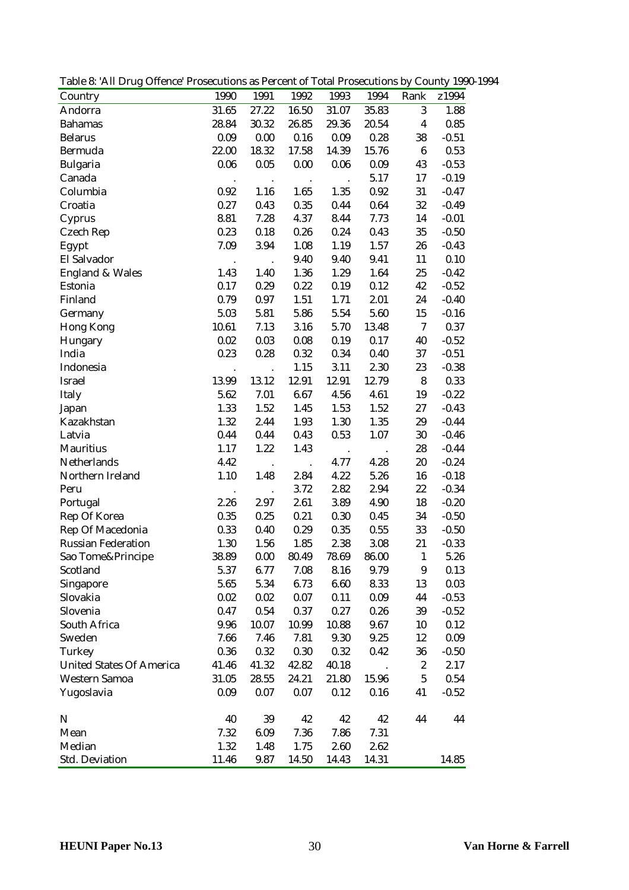Table 8: 'All Drug Offence' Prosecutions as Percent of Total Prosecutions by County 1990-1994

| Country                         | 1990                 | 1991                 | 1992                 | 1993                 | 1994  | Rank             | z1994   |
|---------------------------------|----------------------|----------------------|----------------------|----------------------|-------|------------------|---------|
| Andorra                         | 31.65                | 27.22                | 16.50                | 31.07                | 35.83 | 3                | 1.88    |
| <b>Bahamas</b>                  | 28.84                | 30.32                | 26.85                | 29.36                | 20.54 | $\boldsymbol{4}$ | 0.85    |
| <b>Belarus</b>                  | 0.09                 | 0.00                 | 0.16                 | 0.09                 | 0.28  | 38               | $-0.51$ |
| Bermuda                         | 22.00                | 18.32                | 17.58                | 14.39                | 15.76 | $\bf 6$          | 0.53    |
| Bulgaria                        | 0.06                 | 0.05                 | 0.00                 | 0.06                 | 0.09  | 43               | $-0.53$ |
| Canada                          |                      |                      | $\bullet$            | $\ddot{\phantom{a}}$ | 5.17  | 17               | $-0.19$ |
| Columbia                        | 0.92                 | 1.16                 | 1.65                 | 1.35                 | 0.92  | 31               | $-0.47$ |
| Croatia                         | 0.27                 | 0.43                 | 0.35                 | 0.44                 | 0.64  | 32               | $-0.49$ |
| Cyprus                          | 8.81                 | 7.28                 | 4.37                 | 8.44                 | 7.73  | 14               | $-0.01$ |
| Czech Rep                       | 0.23                 | 0.18                 | 0.26                 | 0.24                 | 0.43  | 35               | $-0.50$ |
| Egypt                           | 7.09                 | 3.94                 | 1.08                 | 1.19                 | 1.57  | $26\,$           | $-0.43$ |
| El Salvador                     | $\ddot{\phantom{a}}$ | $\ddot{\phantom{a}}$ | 9.40                 | 9.40                 | 9.41  | 11               | 0.10    |
| <b>England &amp; Wales</b>      | 1.43                 | 1.40                 | 1.36                 | 1.29                 | 1.64  | 25               | $-0.42$ |
| Estonia                         | 0.17                 | 0.29                 | 0.22                 | 0.19                 | 0.12  | 42               | $-0.52$ |
| Finland                         | 0.79                 | 0.97                 | 1.51                 | 1.71                 | 2.01  | 24               | $-0.40$ |
| Germany                         | 5.03                 | 5.81                 | 5.86                 | 5.54                 | 5.60  | 15               | $-0.16$ |
| Hong Kong                       | 10.61                | 7.13                 | 3.16                 | 5.70                 | 13.48 | $\tau$           | 0.37    |
| Hungary                         | 0.02                 | 0.03                 | 0.08                 | 0.19                 | 0.17  | 40               | $-0.52$ |
| India                           | 0.23                 | 0.28                 | 0.32                 | 0.34                 | 0.40  | 37               | $-0.51$ |
| Indonesia                       |                      |                      | 1.15                 | 3.11                 | 2.30  | 23               | $-0.38$ |
| Israel                          | 13.99                | 13.12                | 12.91                | 12.91                | 12.79 | $\bf 8$          | 0.33    |
| Italy                           | 5.62                 | 7.01                 | 6.67                 | 4.56                 | 4.61  | 19               | $-0.22$ |
| Japan                           | 1.33                 | 1.52                 | 1.45                 | 1.53                 | 1.52  | $27\,$           | $-0.43$ |
| Kazakhstan                      | 1.32                 | 2.44                 | 1.93                 | 1.30                 | 1.35  | 29               | $-0.44$ |
| Latvia                          | 0.44                 | 0.44                 | 0.43                 | 0.53                 | 1.07  | 30               | $-0.46$ |
| <b>Mauritius</b>                | 1.17                 | 1.22                 | 1.43                 | $\cdot$              |       | 28               | $-0.44$ |
| Netherlands                     | 4.42                 | $\cdot$              | $\ddot{\phantom{a}}$ | 4.77                 | 4.28  | 20               | $-0.24$ |
| Northern Ireland                | 1.10                 | 1.48                 | 2.84                 | 4.22                 | 5.26  | 16               | $-0.18$ |
| Peru                            | $\ddot{\phantom{a}}$ | $\ddot{\phantom{a}}$ | 3.72                 | 2.82                 | 2.94  | 22               | $-0.34$ |
| Portugal                        | 2.26                 | 2.97                 | 2.61                 | 3.89                 | 4.90  | 18               | $-0.20$ |
| Rep Of Korea                    | 0.35                 | 0.25                 | 0.21                 | 0.30                 | 0.45  | 34               | $-0.50$ |
| Rep Of Macedonia                | 0.33                 | 0.40                 | 0.29                 | 0.35                 | 0.55  | 33               | $-0.50$ |
| <b>Russian Federation</b>       | 1.30                 | 1.56                 | 1.85                 | 2.38                 | 3.08  | 21               | $-0.33$ |
| Sao Tome&Principe               | 38.89                | 0.00                 | 80.49                | 78.69                | 86.00 | $\mathbf{1}$     | 5.26    |
| Scotland                        | 5.37                 | 6.77                 | 7.08                 | 8.16                 | 9.79  | $\boldsymbol{9}$ | 0.13    |
| Singapore                       | 5.65                 | 5.34                 | 6.73                 | 6.60                 | 8.33  | 13               | 0.03    |
| Slovakia                        | 0.02                 | 0.02                 | 0.07                 | 0.11                 | 0.09  | 44               | $-0.53$ |
| Slovenia                        | 0.47                 | 0.54                 | 0.37                 | 0.27                 | 0.26  | 39               | $-0.52$ |
| South Africa                    | 9.96                 | 10.07                | 10.99                | 10.88                | 9.67  | 10               | 0.12    |
| Sweden                          | 7.66                 | 7.46                 | 7.81                 | 9.30                 | 9.25  | 12               | 0.09    |
| Turkey                          | 0.36                 | 0.32                 | 0.30                 | 0.32                 | 0.42  | 36               | $-0.50$ |
| <b>United States Of America</b> | 41.46                | 41.32                | 42.82                | 40.18                |       | $\boldsymbol{2}$ | 2.17    |
| Western Samoa                   | 31.05                | 28.55                | 24.21                | 21.80                | 15.96 | $\bf 5$          | 0.54    |
| Yugoslavia                      | 0.09                 | 0.07                 | 0.07                 | 0.12                 | 0.16  | 41               | $-0.52$ |
|                                 |                      |                      |                      |                      |       |                  |         |
| $\mathbf N$                     | 40                   | 39                   | 42                   | 42                   | 42    | 44               | 44      |
| Mean                            | 7.32                 | 6.09                 | 7.36                 | 7.86                 | 7.31  |                  |         |
| Median                          | 1.32                 | 1.48                 | 1.75                 | 2.60                 | 2.62  |                  |         |
| Std. Deviation                  | 11.46                | 9.87                 | 14.50                | 14.43                | 14.31 |                  | 14.85   |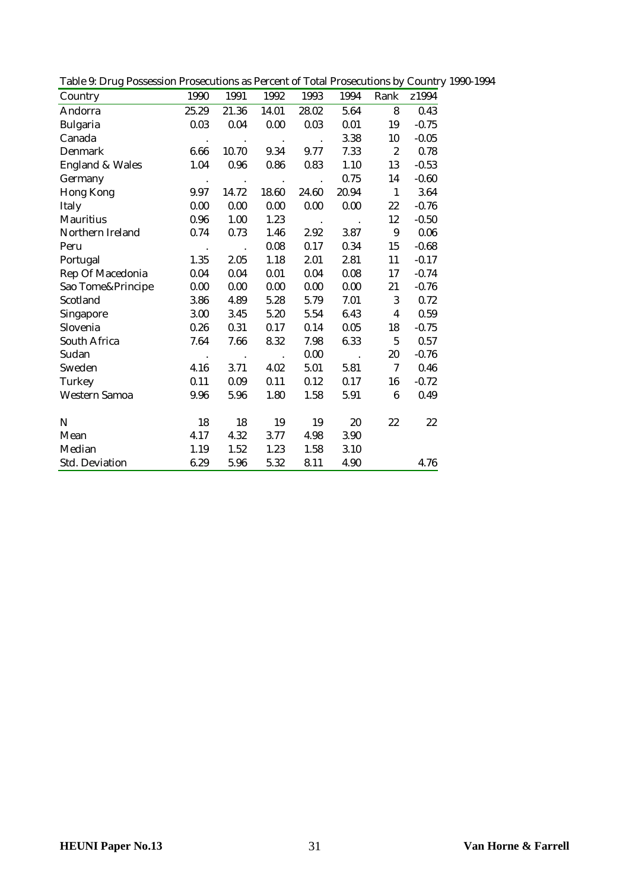|  | Table 9: Drug Possession Prosecutions as Percent of Total Prosecutions by Country 1990-1994 |  |  |  |
|--|---------------------------------------------------------------------------------------------|--|--|--|
|  |                                                                                             |  |  |  |

| Country                    | 1990             | 1991                   | 1992                   | 1993   | 1994          | Rank                    | z1994   |
|----------------------------|------------------|------------------------|------------------------|--------|---------------|-------------------------|---------|
| Andorra                    | 25.29            | 21.36                  | 14.01                  | 28.02  | 5.64          | 8                       | 0.43    |
| <b>Bulgaria</b>            | 0.03             | 0.04                   | 0.00                   | 0.03   | 0.01          | 19                      | $-0.75$ |
| Canada                     | $\blacksquare$ . | $\sim$                 | $\sim 100$ k $^{-1}$   | $\sim$ | 3.38          | 10                      | $-0.05$ |
| Denmark                    | 6.66             | 10.70                  | 9.34                   | 9.77   | 7.33          | $\boldsymbol{2}$        | 0.78    |
| <b>England &amp; Wales</b> | 1.04             | $0.96\,$               | 0.86                   | 0.83   | 1.10          | 13                      | $-0.53$ |
| Germany                    | $\sim$ $\sim$    | $\sim$                 | $\sim$                 | $\sim$ | 0.75          | 14                      | $-0.60$ |
| Hong Kong                  | 9.97             | 14.72                  | 18.60                  | 24.60  | 20.94         | $\mathbf{1}$            | 3.64    |
| Italy                      | 0.00             | 0.00                   | 0.00                   | 0.00   | 0.00          | 22                      | $-0.76$ |
| Mauritius                  | 0.96             | 1.00                   | 1.23                   | $\sim$ | $\sim$ $\sim$ | 12                      | $-0.50$ |
| Northern Ireland           | 0.74             | 0.73                   | 1.46                   | 2.92   | 3.87          | 9                       | 0.06    |
| Peru                       | $\sim$ $\sim$    | $\ddot{\phantom{a}}$ . | 0.08                   | 0.17   | 0.34          | 15                      | $-0.68$ |
| Portugal                   | 1.35             | 2.05                   | 1.18                   | 2.01   | 2.81          | 11                      | $-0.17$ |
| Rep Of Macedonia           | 0.04             | $0.04\,$               | 0.01                   | 0.04   | 0.08          | 17                      | $-0.74$ |
| Sao Tome&Principe          | 0.00             | 0.00                   | 0.00                   | 0.00   | 0.00          | 21                      | $-0.76$ |
| Scotland                   | 3.86             | 4.89                   | 5.28                   | 5.79   | 7.01          | 3                       | 0.72    |
| Singapore                  | 3.00             | 3.45                   | 5.20                   | 5.54   | 6.43          | $\overline{\mathbf{4}}$ | 0.59    |
| Slovenia                   | 0.26             | 0.31                   | 0.17                   | 0.14   | 0.05          | 18                      | $-0.75$ |
| South Africa               | 7.64             | 7.66                   | 8.32                   | 7.98   | 6.33          | 5                       | 0.57    |
| Sudan                      | $\bullet$        | $\blacksquare$ .       | $\ddot{\phantom{a}}$ . | 0.00   | $\sim$        | 20                      | $-0.76$ |
| Sweden                     | 4.16             | 3.71                   | 4.02                   | 5.01   | 5.81          | $\tau$                  | 0.46    |
| Turkey                     | 0.11             | 0.09                   | 0.11                   | 0.12   | 0.17          | 16                      | $-0.72$ |
| Western Samoa              | 9.96             | 5.96                   | 1.80                   | 1.58   | 5.91          | 6                       | 0.49    |
|                            |                  |                        |                        |        |               |                         |         |
| N                          | 18               | 18                     | 19                     | 19     | 20            | 22                      | 22      |
| Mean                       | 4.17             | 4.32                   | 3.77                   | 4.98   | 3.90          |                         |         |
| Median                     | 1.19             | 1.52                   | 1.23                   | 1.58   | 3.10          |                         |         |
| Std. Deviation             | 6.29             | 5.96                   | 5.32                   | 8.11   | 4.90          |                         | 4.76    |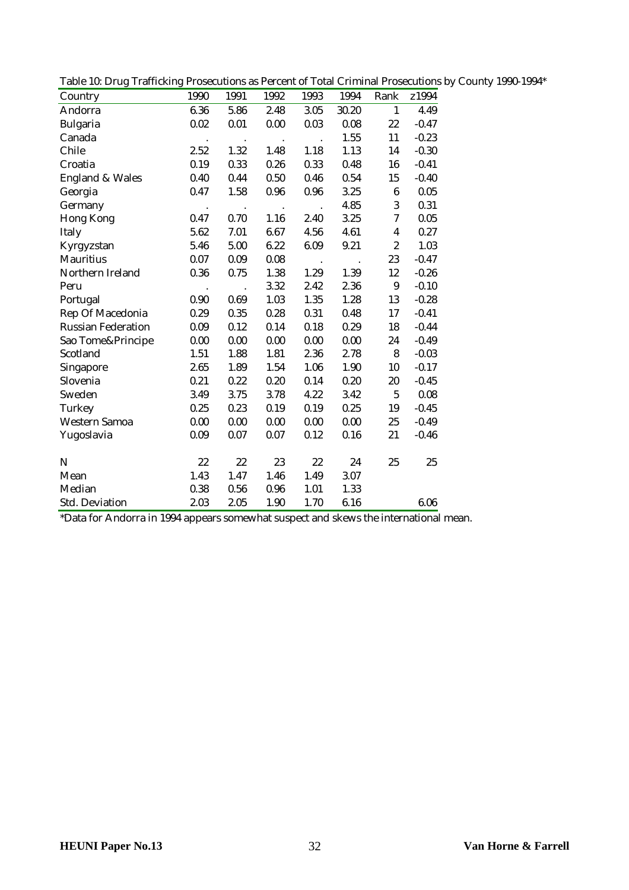|  | Table 10: Drug Trafficking Prosecutions as Percent of Total Criminal Prosecutions by County 1990-1994* |  |
|--|--------------------------------------------------------------------------------------------------------|--|
|  |                                                                                                        |  |

| Country                    | 1990 | 1991 | 1992 | 1993 | 1994  | Rank             | z1994   |
|----------------------------|------|------|------|------|-------|------------------|---------|
| Andorra                    | 6.36 | 5.86 | 2.48 | 3.05 | 30.20 | $\mathbf{1}$     | 4.49    |
| <b>Bulgaria</b>            | 0.02 | 0.01 | 0.00 | 0.03 | 0.08  | 22               | $-0.47$ |
| Canada                     |      |      |      |      | 1.55  | 11               | $-0.23$ |
| Chile                      | 2.52 | 1.32 | 1.48 | 1.18 | 1.13  | 14               | $-0.30$ |
| Croatia                    | 0.19 | 0.33 | 0.26 | 0.33 | 0.48  | 16               | $-0.41$ |
| <b>England &amp; Wales</b> | 0.40 | 0.44 | 0.50 | 0.46 | 0.54  | 15               | $-0.40$ |
| Georgia                    | 0.47 | 1.58 | 0.96 | 0.96 | 3.25  | $\bf 6$          | 0.05    |
| Germany                    |      |      |      |      | 4.85  | 3                | 0.31    |
| <b>Hong Kong</b>           | 0.47 | 0.70 | 1.16 | 2.40 | 3.25  | $\tau$           | 0.05    |
| Italy                      | 5.62 | 7.01 | 6.67 | 4.56 | 4.61  | $\boldsymbol{4}$ | 0.27    |
| Kyrgyzstan                 | 5.46 | 5.00 | 6.22 | 6.09 | 9.21  | $\boldsymbol{2}$ | 1.03    |
| <b>Mauritius</b>           | 0.07 | 0.09 | 0.08 |      |       | 23               | $-0.47$ |
| Northern Ireland           | 0.36 | 0.75 | 1.38 | 1.29 | 1.39  | 12               | $-0.26$ |
| Peru                       |      |      | 3.32 | 2.42 | 2.36  | $\boldsymbol{9}$ | $-0.10$ |
| Portugal                   | 0.90 | 0.69 | 1.03 | 1.35 | 1.28  | 13               | $-0.28$ |
| Rep Of Macedonia           | 0.29 | 0.35 | 0.28 | 0.31 | 0.48  | 17               | $-0.41$ |
| <b>Russian Federation</b>  | 0.09 | 0.12 | 0.14 | 0.18 | 0.29  | 18               | $-0.44$ |
| Sao Tome&Principe          | 0.00 | 0.00 | 0.00 | 0.00 | 0.00  | 24               | $-0.49$ |
| Scotland                   | 1.51 | 1.88 | 1.81 | 2.36 | 2.78  | 8                | $-0.03$ |
| Singapore                  | 2.65 | 1.89 | 1.54 | 1.06 | 1.90  | 10               | $-0.17$ |
| Slovenia                   | 0.21 | 0.22 | 0.20 | 0.14 | 0.20  | 20               | $-0.45$ |
| Sweden                     | 3.49 | 3.75 | 3.78 | 4.22 | 3.42  | $\mathbf 5$      | 0.08    |
| Turkey                     | 0.25 | 0.23 | 0.19 | 0.19 | 0.25  | 19               | $-0.45$ |
| <b>Western Samoa</b>       | 0.00 | 0.00 | 0.00 | 0.00 | 0.00  | 25               | $-0.49$ |
| Yugoslavia                 | 0.09 | 0.07 | 0.07 | 0.12 | 0.16  | 21               | $-0.46$ |
|                            |      |      |      |      |       |                  |         |
| N                          | 22   | 22   | 23   | 22   | 24    | 25               | 25      |
| Mean                       | 1.43 | 1.47 | 1.46 | 1.49 | 3.07  |                  |         |
| Median                     | 0.38 | 0.56 | 0.96 | 1.01 | 1.33  |                  |         |
| <b>Std. Deviation</b>      | 2.03 | 2.05 | 1.90 | 1.70 | 6.16  |                  | 6.06    |

\*Data for Andorra in 1994 appears somewhat suspect and skews the international mean.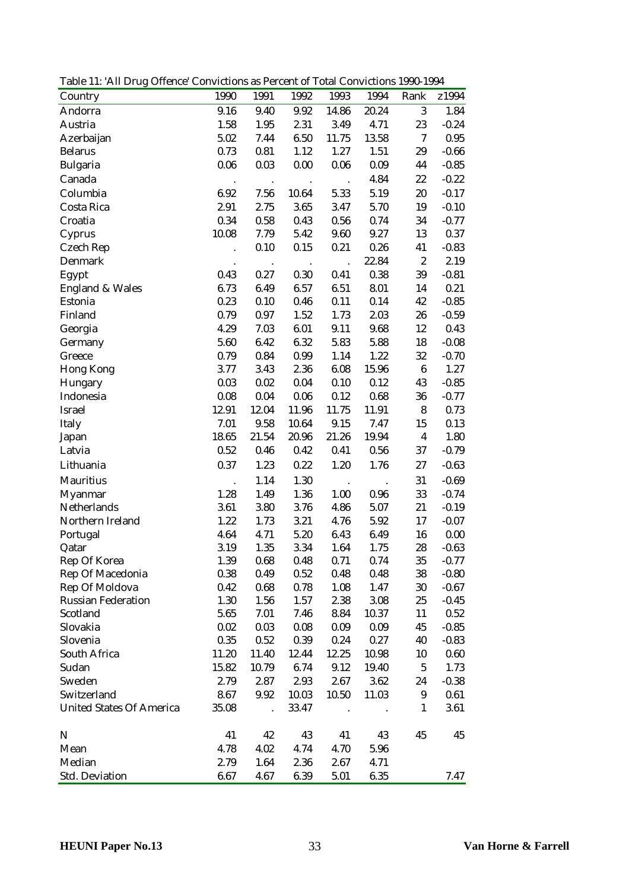Table 11: 'All Drug Offence' Convictions as Percent of Total Convictions 1990-1994

| Country                         | 1990                         | 1991                 | 1992           | 1993                 | 1994                         | Rank             | z1994   |
|---------------------------------|------------------------------|----------------------|----------------|----------------------|------------------------------|------------------|---------|
| Andorra                         | 9.16                         | 9.40                 | 9.92           | 14.86                | 20.24                        | 3                | 1.84    |
| Austria                         | 1.58                         | 1.95                 | 2.31           | 3.49                 | 4.71                         | 23               | $-0.24$ |
| Azerbaijan                      | 5.02                         | 7.44                 | 6.50           | 11.75                | 13.58                        | $\tau$           | 0.95    |
| <b>Belarus</b>                  | 0.73                         | 0.81                 | 1.12           | 1.27                 | 1.51                         | 29               | $-0.66$ |
| <b>Bulgaria</b>                 | 0.06                         | 0.03                 | 0.00           | 0.06                 | 0.09                         | 44               | $-0.85$ |
| Canada                          | $\cdot$                      | $\bullet$            | $\blacksquare$ | $\ddot{\phantom{a}}$ | 4.84                         | $22\,$           | $-0.22$ |
| Columbia                        | 6.92                         | 7.56                 | 10.64          | 5.33                 | 5.19                         | $20\,$           | $-0.17$ |
| Costa Rica                      | 2.91                         | 2.75                 | 3.65           | 3.47                 | 5.70                         | 19               | $-0.10$ |
| Croatia                         | 0.34                         | 0.58                 | 0.43           | 0.56                 | 0.74                         | 34               | $-0.77$ |
| Cyprus                          | 10.08                        | 7.79                 | 5.42           | 9.60                 | 9.27                         | 13               | 0.37    |
| <b>Czech Rep</b>                |                              | 0.10                 | 0.15           | 0.21                 | 0.26                         | 41               | $-0.83$ |
| Denmark                         |                              | $\cdot$              | $\sim$         | $\ddot{\phantom{a}}$ | 22.84                        | $\boldsymbol{2}$ | 2.19    |
| Egypt                           | 0.43                         | 0.27                 | 0.30           | 0.41                 | 0.38                         | 39               | $-0.81$ |
| <b>England &amp; Wales</b>      | 6.73                         | 6.49                 | 6.57           | 6.51                 | 8.01                         | 14               | 0.21    |
| Estonia                         | 0.23                         | 0.10                 | 0.46           | 0.11                 | 0.14                         | 42               | $-0.85$ |
| Finland                         | 0.79                         | 0.97                 | 1.52           | 1.73                 | 2.03                         | 26               | $-0.59$ |
| Georgia                         | 4.29                         | 7.03                 | 6.01           | 9.11                 | 9.68                         | 12               | 0.43    |
| Germany                         | 5.60                         | 6.42                 | 6.32           | 5.83                 | 5.88                         | 18               | $-0.08$ |
| Greece                          | 0.79                         | 0.84                 | 0.99           | 1.14                 | 1.22                         | 32               | $-0.70$ |
| <b>Hong Kong</b>                | 3.77                         | 3.43                 | 2.36           | 6.08                 | 15.96                        | $\boldsymbol{6}$ | 1.27    |
| Hungary                         | 0.03                         | 0.02                 | 0.04           | 0.10                 | 0.12                         | 43               | $-0.85$ |
| Indonesia                       | 0.08                         | 0.04                 | 0.06           | 0.12                 | 0.68                         | 36               | $-0.77$ |
| Israel                          | 12.91                        | 12.04                | 11.96          | 11.75                | 11.91                        | 8                | 0.73    |
| Italy                           | 7.01                         | 9.58                 | 10.64          | 9.15                 | 7.47                         | 15               | 0.13    |
| Japan                           | 18.65                        | 21.54                | 20.96          | 21.26                | 19.94                        | $\boldsymbol{4}$ | 1.80    |
| Latvia                          | 0.52                         | 0.46                 | 0.42           | 0.41                 | 0.56                         | 37               | $-0.79$ |
| Lithuania                       | 0.37                         | 1.23                 | 0.22           | 1.20                 | 1.76                         | 27               | $-0.63$ |
| <b>Mauritius</b>                |                              | 1.14                 | 1.30           |                      |                              | 31               | $-0.69$ |
| Myanmar                         | $\ddot{\phantom{0}}$<br>1.28 | 1.49                 | 1.36           | $\cdot$<br>1.00      | $\ddot{\phantom{0}}$<br>0.96 | 33               | $-0.74$ |
| Netherlands                     | 3.61                         | 3.80                 | 3.76           | 4.86                 | 5.07                         | 21               | $-0.19$ |
| Northern Ireland                | 1.22                         | 1.73                 | 3.21           | 4.76                 | 5.92                         | 17               | $-0.07$ |
| Portugal                        | 4.64                         | 4.71                 | 5.20           | 6.43                 | 6.49                         | 16               | 0.00    |
| Qatar                           | 3.19                         | 1.35                 | 3.34           | 1.64                 | 1.75                         | 28               | $-0.63$ |
| Rep Of Korea                    | 1.39                         | 0.68                 | 0.48           | 0.71                 | 0.74                         | 35               | $-0.77$ |
| Rep Of Macedonia                | 0.38                         | 0.49                 | 0.52           | 0.48                 | 0.48                         | 38               | $-0.80$ |
| Rep Of Moldova                  | 0.42                         | 0.68                 | 0.78           | 1.08                 | 1.47                         | 30               | $-0.67$ |
| <b>Russian Federation</b>       | 1.30                         | 1.56                 | 1.57           | 2.38                 | 3.08                         | 25               | $-0.45$ |
| Scotland                        | 5.65                         | 7.01                 | 7.46           | 8.84                 | 10.37                        | 11               | 0.52    |
| Slovakia                        | 0.02                         | $\rm 0.03$           | 0.08           | 0.09                 | 0.09                         | 45               | $-0.85$ |
| Slovenia                        | 0.35                         | 0.52                 | 0.39           | 0.24                 | 0.27                         | 40               | $-0.83$ |
| South Africa                    | 11.20                        | 11.40                | 12.44          | 12.25                | 10.98                        | 10               | 0.60    |
| Sudan                           | 15.82                        | 10.79                | 6.74           | 9.12                 | 19.40                        | $\overline{5}$   | 1.73    |
| Sweden                          | 2.79                         | 2.87                 | 2.93           | 2.67                 | 3.62                         | 24               | $-0.38$ |
| Switzerland                     | 8.67                         | 9.92                 | 10.03          | 10.50                | 11.03                        | 9                | 0.61    |
| <b>United States Of America</b> | 35.08                        | $\ddot{\phantom{a}}$ | 33.47          |                      |                              | $\mathbf{1}$     | 3.61    |
|                                 |                              |                      |                |                      |                              |                  |         |
| $\mathbf N$                     | 41                           | 42                   | 43             | 41                   | 43                           | 45               | 45      |
| Mean                            | 4.78                         | 4.02                 | 4.74           | 4.70                 | 5.96                         |                  |         |
| Median                          | 2.79                         | 1.64                 | 2.36           | 2.67                 | 4.71                         |                  |         |
| Std. Deviation                  | 6.67                         | 4.67                 | 6.39           | 5.01                 | 6.35                         |                  | 7.47    |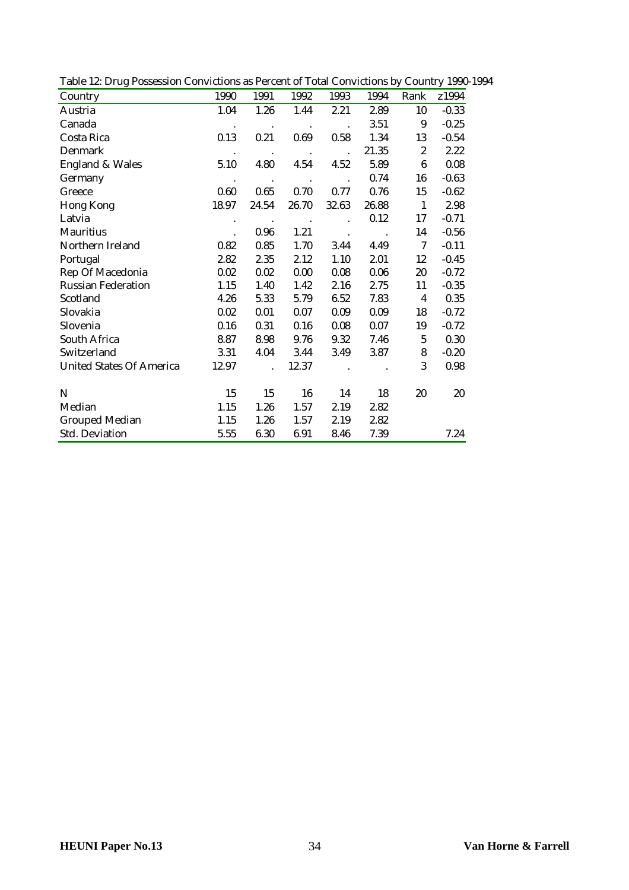| Country                         | 1990                 | 1991                 | 1992             | 1993                   | 1994  | Rank                  | z1994   |
|---------------------------------|----------------------|----------------------|------------------|------------------------|-------|-----------------------|---------|
| Austria                         | 1.04                 | 1.26                 | 1.44             | 2.21                   | 2.89  | 10                    | $-0.33$ |
| Canada                          | $\bullet$            | $\bullet$            | $\bullet$        |                        | 3.51  | 9                     | $-0.25$ |
| Costa Rica                      | 0.13                 | 0.21                 | 0.69             | 0.58                   | 1.34  | 13                    | $-0.54$ |
| Denmark                         | $\cdot$              | $\sim$ $\sim$        | $\sim$ $\sim$    | $\ddot{\phantom{a}}$ . | 21.35 | $\mathbf{2}^{\prime}$ | 2.22    |
| <b>England &amp; Wales</b>      | 5.10                 | 4.80                 | 4.54             | 4.52                   | 5.89  | $6\phantom{1}$        | 0.08    |
| Germany                         | $\sim$               | $\sim 100$           | $\sim 100$ $\mu$ | $\sim$                 | 0.74  | 16                    | $-0.63$ |
| Greece                          | 0.60                 | 0.65                 | 0.70             | 0.77                   | 0.76  | 15                    | $-0.62$ |
| Hong Kong                       | 18.97                | 24.54                | 26.70            | 32.63                  | 26.88 | $\mathbf{1}$          | 2.98    |
| Latvia                          |                      | $\sim$ 100 $\pm$     | $\sim$           |                        | 0.12  | 17                    | $-0.71$ |
| Mauritius                       | $\ddot{\phantom{0}}$ | 0.96                 | 1.21             | $\cdot$                |       | 14                    | $-0.56$ |
| Northern Ireland                | 0.82                 | 0.85                 | 1.70             | 3.44                   | 4.49  | 7                     | $-0.11$ |
| Portugal                        | 2.82                 | 2.35                 | 2.12             | 1.10                   | 2.01  | 12                    | $-0.45$ |
| Rep Of Macedonia                | 0.02                 | 0.02                 | 0.00             | 0.08                   | 0.06  | 20                    | $-0.72$ |
| <b>Russian Federation</b>       | 1.15                 | 1.40                 | 1.42             | 2.16                   | 2.75  | 11                    | $-0.35$ |
| Scotland                        | 4.26                 | 5.33                 | 5.79             | 6.52                   | 7.83  | $\overline{4}$        | 0.35    |
| Slovakia                        | 0.02                 | 0.01                 | 0.07             | 0.09                   | 0.09  | 18                    | $-0.72$ |
| Slovenia                        | 0.16                 | 0.31                 | 0.16             | 0.08                   | 0.07  | 19                    | $-0.72$ |
| South Africa                    | 8.87                 | 8.98                 | 9.76             | 9.32                   | 7.46  | 5                     | 0.30    |
| Switzerland                     | 3.31                 | 4.04                 | 3.44             | 3.49                   | 3.87  | 8                     | $-0.20$ |
| <b>United States Of America</b> | 12.97                | $\ddot{\phantom{a}}$ | 12.37            |                        |       | 3                     | 0.98    |
| N                               | 15                   | 15                   | 16               | 14                     | 18    | 20                    | 20      |
| Median                          | 1.15                 | 1.26                 | 1.57             | 2.19                   | 2.82  |                       |         |
| <b>Grouped Median</b>           | 1.15                 | 1.26                 | 1.57             | 2.19                   | 2.82  |                       |         |
| <b>Std. Deviation</b>           | 5.55                 | 6.30                 | 6.91             | 8.46                   | 7.39  |                       | 7.24    |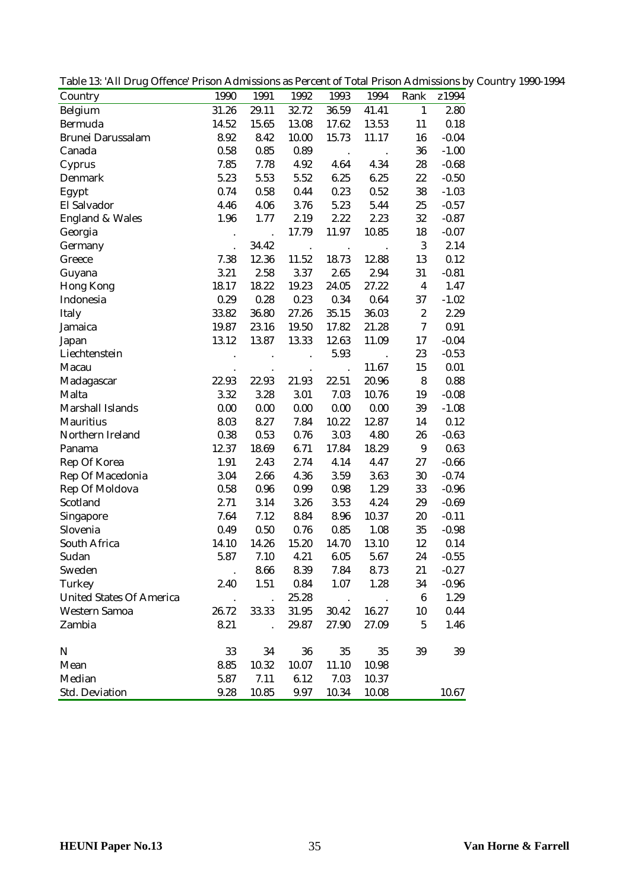|  | Table 13: 'All Drug Offence' Prison Admissions as Percent of Total Prison Admissions by Country 1990-1994 |  |  |  |  |  |  |  |
|--|-----------------------------------------------------------------------------------------------------------|--|--|--|--|--|--|--|
|--|-----------------------------------------------------------------------------------------------------------|--|--|--|--|--|--|--|

| Country                         | 1990                 | 1991                 | 1992                 | 1993                 | 1994      | Rank             | z1994   |
|---------------------------------|----------------------|----------------------|----------------------|----------------------|-----------|------------------|---------|
| Belgium                         | 31.26                | 29.11                | 32.72                | 36.59                | 41.41     | $\mathbf{1}$     | 2.80    |
| Bermuda                         | 14.52                | 15.65                | 13.08                | 17.62                | 13.53     | 11               | 0.18    |
| <b>Brunei Darussalam</b>        | 8.92                 | 8.42                 | 10.00                | 15.73                | 11.17     | 16               | $-0.04$ |
| Canada                          | 0.58                 | 0.85                 | 0.89                 | $\bullet$            | $\bullet$ | 36               | $-1.00$ |
| Cyprus                          | 7.85                 | 7.78                 | 4.92                 | 4.64                 | 4.34      | 28               | $-0.68$ |
| Denmark                         | 5.23                 | 5.53                 | 5.52                 | 6.25                 | 6.25      | 22               | $-0.50$ |
| Egypt                           | 0.74                 | 0.58                 | 0.44                 | 0.23                 | 0.52      | 38               | $-1.03$ |
| El Salvador                     | 4.46                 | 4.06                 | 3.76                 | 5.23                 | 5.44      | 25               | $-0.57$ |
| <b>England &amp; Wales</b>      | 1.96                 | 1.77                 | 2.19                 | 2.22                 | 2.23      | $32\,$           | $-0.87$ |
| Georgia                         | $\bullet$            |                      | 17.79                | 11.97                | 10.85     | 18               | $-0.07$ |
| Germany                         |                      | 34.42                | $\ddot{\phantom{a}}$ | $\bullet$            |           | $\boldsymbol{3}$ | 2.14    |
| Greece                          | 7.38                 | 12.36                | 11.52                | 18.73                | 12.88     | 13               | 0.12    |
| Guyana                          | 3.21                 | 2.58                 | 3.37                 | 2.65                 | 2.94      | 31               | $-0.81$ |
| <b>Hong Kong</b>                | 18.17                | 18.22                | 19.23                | 24.05                | 27.22     | $\boldsymbol{4}$ | 1.47    |
| Indonesia                       | 0.29                 | 0.28                 | 0.23                 | 0.34                 | 0.64      | 37               | $-1.02$ |
| Italy                           | 33.82                | 36.80                | 27.26                | 35.15                | 36.03     | $\boldsymbol{2}$ | 2.29    |
| Jamaica                         | 19.87                | 23.16                | 19.50                | 17.82                | 21.28     | $\tau$           | 0.91    |
| Japan                           | 13.12                | 13.87                | 13.33                | 12.63                | 11.09     | 17               | $-0.04$ |
| Liechtenstein                   |                      |                      |                      | 5.93                 |           | 23               | $-0.53$ |
| Macau                           |                      |                      |                      | $\ddot{\phantom{a}}$ | 11.67     | 15               | 0.01    |
| Madagascar                      | 22.93                | 22.93                | 21.93                | 22.51                | 20.96     | $\bf 8$          | 0.88    |
| Malta                           | 3.32                 | 3.28                 | 3.01                 | 7.03                 | 10.76     | 19               | $-0.08$ |
| Marshall Islands                | 0.00                 | 0.00                 | 0.00                 | 0.00                 | 0.00      | 39               | $-1.08$ |
| <b>Mauritius</b>                | 8.03                 | 8.27                 | 7.84                 | 10.22                | 12.87     | 14               | 0.12    |
| Northern Ireland                | 0.38                 | 0.53                 | 0.76                 | 3.03                 | 4.80      | 26               | $-0.63$ |
| Panama                          | 12.37                | 18.69                | 6.71                 | 17.84                | 18.29     | $9\,$            | 0.63    |
| Rep Of Korea                    | 1.91                 | 2.43                 | 2.74                 | 4.14                 | 4.47      | 27               | $-0.66$ |
| Rep Of Macedonia                | 3.04                 | 2.66                 | 4.36                 | 3.59                 | 3.63      | 30               | $-0.74$ |
| Rep Of Moldova                  | 0.58                 | 0.96                 | 0.99                 | 0.98                 | 1.29      | 33               | $-0.96$ |
| Scotland                        | 2.71                 | 3.14                 | 3.26                 | 3.53                 | 4.24      | 29               | $-0.69$ |
| Singapore                       | 7.64                 | 7.12                 | 8.84                 | 8.96                 | 10.37     | 20               | $-0.11$ |
| Slovenia                        | 0.49                 | 0.50                 | 0.76                 | 0.85                 | 1.08      | 35               | $-0.98$ |
| South Africa                    | 14.10                | 14.26                | 15.20                | 14.70                | 13.10     | 12               | 0.14    |
| Sudan                           | 5.87                 | 7.10                 | 4.21                 | 6.05                 | 5.67      | 24               | $-0.55$ |
| Sweden                          | $\ddot{\phantom{a}}$ | 8.66                 | 8.39                 | 7.84                 | 8.73      | 21               | $-0.27$ |
| Turkey                          | 2.40                 | 1.51                 | 0.84                 | 1.07                 | 1.28      | 34               | $-0.96$ |
| <b>United States Of America</b> |                      | $\ddot{\phantom{a}}$ | 25.28                | $\sim$               | $\sim$    | $\boldsymbol{6}$ | 1.29    |
| Western Samoa                   | 26.72                | 33.33                | 31.95                | 30.42                | 16.27     | 10               | 0.44    |
| Zambia                          | 8.21                 | $\ddot{\phantom{a}}$ | 29.87                | 27.90                | 27.09     | $\mathbf 5$      | 1.46    |
| $\mathbf N$                     | 33                   | 34                   | 36                   | 35                   | 35        | 39               | 39      |
| Mean                            | 8.85                 | 10.32                | 10.07                | 11.10                | 10.98     |                  |         |
| Median                          | 5.87                 | 7.11                 | 6.12                 | 7.03                 | 10.37     |                  |         |
| <b>Std. Deviation</b>           | 9.28                 | 10.85                | 9.97                 | 10.34                | 10.08     |                  | 10.67   |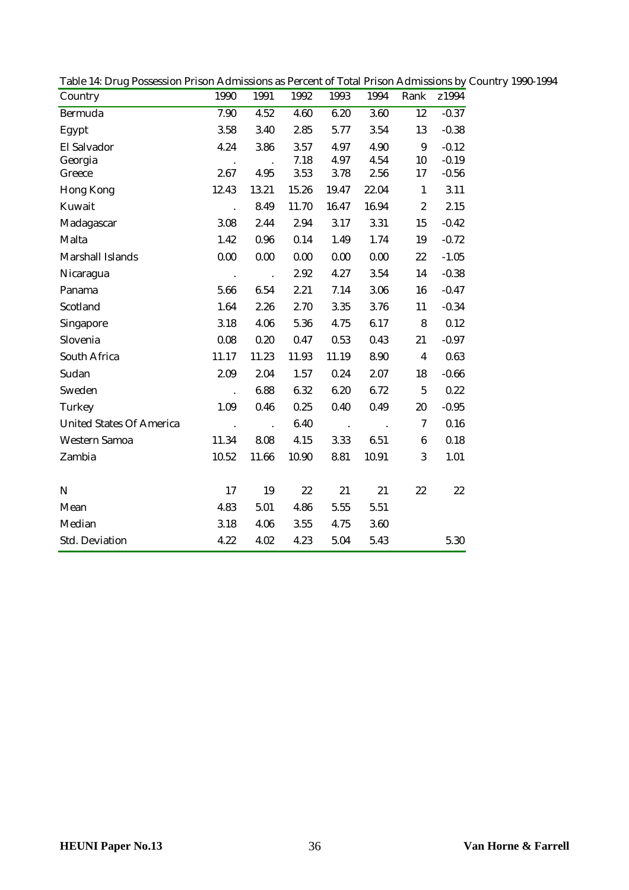| Country                         | 1990                 | 1991                   | 1992  | 1993          | 1994          | Rank                    | z1994   |  |
|---------------------------------|----------------------|------------------------|-------|---------------|---------------|-------------------------|---------|--|
| Bermuda                         | 7.90                 | 4.52                   | 4.60  | 6.20          | 3.60          | 12                      | $-0.37$ |  |
| Egypt                           | 3.58                 | 3.40                   | 2.85  | 5.77          | 3.54          | 13                      | $-0.38$ |  |
| El Salvador                     | 4.24                 | 3.86                   | 3.57  | 4.97          | 4.90          | $\boldsymbol{9}$        | $-0.12$ |  |
| Georgia                         |                      |                        | 7.18  | 4.97          | 4.54          | 10                      | $-0.19$ |  |
| Greece                          | 2.67                 | 4.95                   | 3.53  | 3.78          | 2.56          | 17                      | $-0.56$ |  |
| Hong Kong                       | 12.43                | 13.21                  | 15.26 | 19.47         | 22.04         | $\mathbf{1}$            | 3.11    |  |
| Kuwait                          | $\ddot{\phantom{a}}$ | 8.49                   | 11.70 | 16.47         | 16.94         | $\boldsymbol{2}$        | 2.15    |  |
| Madagascar                      | 3.08                 | 2.44                   | 2.94  | 3.17          | 3.31          | 15                      | $-0.42$ |  |
| Malta                           | 1.42                 | 0.96                   | 0.14  | 1.49          | 1.74          | 19                      | $-0.72$ |  |
| Marshall Islands                | 0.00                 | 0.00                   | 0.00  | 0.00          | 0.00          | 22                      | $-1.05$ |  |
| Nicaragua                       | $\mathcal{A}$        | $\sim$ .               | 2.92  | 4.27          | 3.54          | 14                      | $-0.38$ |  |
| Panama                          | 5.66                 | 6.54                   | 2.21  | 7.14          | 3.06          | 16                      | $-0.47$ |  |
| Scotland                        | 1.64                 | 2.26                   | 2.70  | 3.35          | 3.76          | 11                      | $-0.34$ |  |
| Singapore                       | 3.18                 | 4.06                   | 5.36  | 4.75          | 6.17          | 8                       | 0.12    |  |
| Slovenia                        | 0.08                 | 0.20                   | 0.47  | 0.53          | 0.43          | 21                      | $-0.97$ |  |
| South Africa                    | 11.17                | 11.23                  | 11.93 | 11.19         | 8.90          | $\overline{\mathbf{4}}$ | 0.63    |  |
| Sudan                           | 2.09                 | 2.04                   | 1.57  | 0.24          | 2.07          | 18                      | $-0.66$ |  |
| Sweden                          | $\ddot{\phantom{a}}$ | 6.88                   | 6.32  | 6.20          | 6.72          | $5\phantom{.0}$         | 0.22    |  |
| Turkey                          | 1.09                 | 0.46                   | 0.25  | 0.40          | 0.49          | 20                      | $-0.95$ |  |
| <b>United States Of America</b> | $\sim$ $\sim$        | $\ddot{\phantom{a}}$ . | 6.40  | $\sim$ $\sim$ | $\sim$ $\sim$ | $\overline{7}$          | 0.16    |  |
| Western Samoa                   | 11.34                | 8.08                   | 4.15  | 3.33          | 6.51          | $6\phantom{.}6$         | 0.18    |  |
| Zambia                          | 10.52                | 11.66                  | 10.90 | 8.81          | 10.91         | 3                       | 1.01    |  |
|                                 |                      |                        |       |               |               |                         |         |  |
| $\mathbf N$                     | 17                   | 19                     | 22    | 21            | 21            | 22                      | 22      |  |
| Mean                            | 4.83                 | 5.01                   | 4.86  | 5.55          | 5.51          |                         |         |  |
| Median                          | 3.18                 | 4.06                   | 3.55  | 4.75          | 3.60          |                         |         |  |
| Std. Deviation                  | 4.22                 | 4.02                   | 4.23  | 5.04          | 5.43          |                         | 5.30    |  |

Table 14: Drug Possession Prison Admissions as Percent of Total Prison Admissions by Country 1990-1994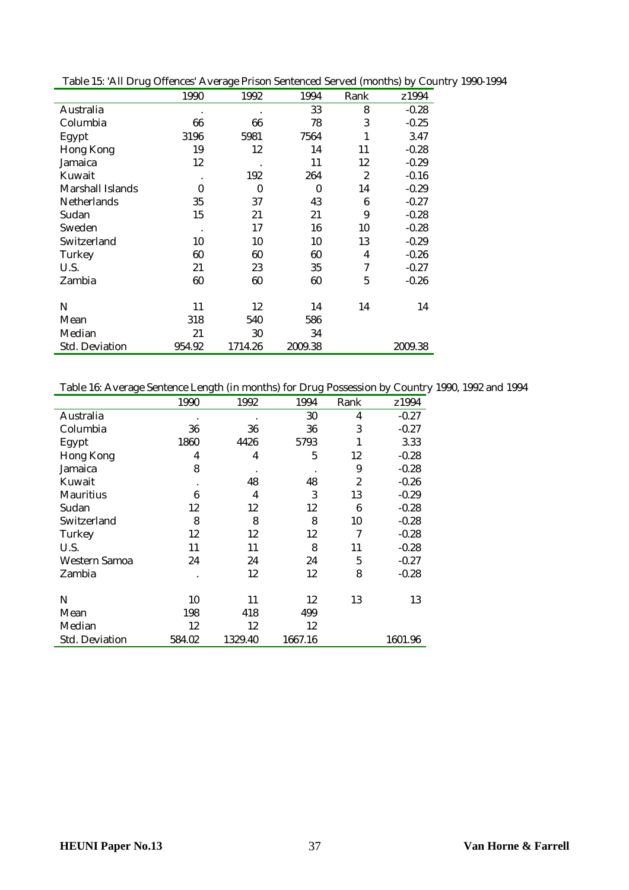| Table 15: 'All Drug Offences' Average Prison Sentenced Served (months) by Country 1990-1994 |           |                                                             |  |  |  |
|---------------------------------------------------------------------------------------------|-----------|-------------------------------------------------------------|--|--|--|
|                                                                                             | 1000 1009 | $1004$ $D_{\text{c}}$ $D_{\text{c}}$ $D_{\text{c}}$ $21004$ |  |  |  |

|                       | 1990     | 1992     | 1994     | Rank           | z1994   |
|-----------------------|----------|----------|----------|----------------|---------|
| Australia             |          |          | 33       | 8              | $-0.28$ |
| Columbia              | 66       | 66       | 78       | 3              | $-0.25$ |
| Egypt                 | 3196     | 5981     | 7564     | 1              | 3.47    |
| <b>Hong Kong</b>      | 19       | 12       | 14       | 11             | $-0.28$ |
| Jamaica               | 12       |          | 11       | 12             | $-0.29$ |
| Kuwait                |          | 192      | 264      | $\overline{2}$ | $-0.16$ |
| Marshall Islands      | $\theta$ | $\bf{0}$ | $\theta$ | 14             | $-0.29$ |
| <b>Netherlands</b>    | 35       | 37       | 43       | 6              | $-0.27$ |
| Sudan                 | 15       | 21       | 21       | 9              | $-0.28$ |
| Sweden                |          | 17       | 16       | 10             | $-0.28$ |
| Switzerland           | 10       | 10       | 10       | 13             | $-0.29$ |
| Turkey                | 60       | 60       | 60       | 4              | $-0.26$ |
| U.S.                  | 21       | 23       | 35       | 7              | $-0.27$ |
| Zambia                | 60       | 60       | 60       | 5              | $-0.26$ |
|                       |          |          |          |                |         |
| N                     | 11       | 12       | 14       | 14             | 14      |
| Mean                  | 318      | 540      | 586      |                |         |
| Median                | 21       | 30       | 34       |                |         |
| <b>Std. Deviation</b> | 954.92   | 1714.26  | 2009.38  |                | 2009.38 |

Table 16: Average Sentence Length (in months) for Drug Possession by Country 1990, 1992 and 1994

|                       | 1990   | 1992    | 1994    | Rank           | z1994   |
|-----------------------|--------|---------|---------|----------------|---------|
| Australia             |        |         | 30      | $\overline{4}$ | $-0.27$ |
| Columbia              | 36     | 36      | 36      | 3              | $-0.27$ |
| Egypt                 | 1860   | 4426    | 5793    |                | 3.33    |
| Hong Kong             | 4      | 4       | 5       | 12             | $-0.28$ |
| Jamaica               | 8      |         |         | 9              | $-0.28$ |
| Kuwait                |        | 48      | 48      | 2              | $-0.26$ |
| <b>Mauritius</b>      | 6      | 4       | 3       | 13             | $-0.29$ |
| Sudan                 | 12     | 12      | 12      | 6              | $-0.28$ |
| Switzerland           | 8      | 8       | 8       | 10             | $-0.28$ |
| Turkey                | 12     | 12      | 12      | 7              | $-0.28$ |
| U.S.                  | 11     | 11      | 8       | 11             | $-0.28$ |
| Western Samoa         | 24     | 24      | 24      | 5              | $-0.27$ |
| Zambia                |        | 12      | 12      | 8              | $-0.28$ |
|                       |        |         |         |                |         |
| N                     | 10     | 11      | 12      | 13             | 13      |
| Mean                  | 198    | 418     | 499     |                |         |
| Median                | 12     | 12      | 12      |                |         |
| <b>Std. Deviation</b> | 584.02 | 1329.40 | 1667.16 |                | 1601.96 |